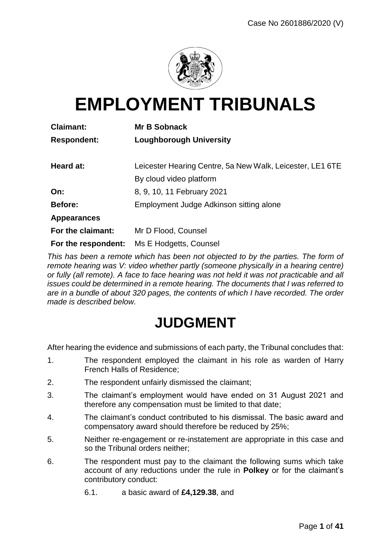

# **EMPLOYMENT TRIBUNALS**

| <b>Claimant:</b>    | <b>Mr B Sobnack</b>                                       |  |  |
|---------------------|-----------------------------------------------------------|--|--|
| <b>Respondent:</b>  | <b>Loughborough University</b>                            |  |  |
| Heard at:           | Leicester Hearing Centre, 5a New Walk, Leicester, LE1 6TE |  |  |
|                     | By cloud video platform                                   |  |  |
| On:                 | 8, 9, 10, 11 February 2021                                |  |  |
| <b>Before:</b>      | Employment Judge Adkinson sitting alone                   |  |  |
| <b>Appearances</b>  |                                                           |  |  |
| For the claimant:   | Mr D Flood, Counsel                                       |  |  |
| For the respondent: | Ms E Hodgetts, Counsel                                    |  |  |

*This has been a remote which has been not objected to by the parties. The form of remote hearing was V: video whether partly (someone physically in a hearing centre) or fully (all remote). A face to face hearing was not held it was not practicable and all issues could be determined in a remote hearing. The documents that I was referred to are in a bundle of about 320 pages, the contents of which I have recorded. The order made is described below.*

## **JUDGMENT**

After hearing the evidence and submissions of each party, the Tribunal concludes that:

- 1. The respondent employed the claimant in his role as warden of Harry French Halls of Residence;
- 2. The respondent unfairly dismissed the claimant;
- 3. The claimant's employment would have ended on 31 August 2021 and therefore any compensation must be limited to that date;
- 4. The claimant's conduct contributed to his dismissal. The basic award and compensatory award should therefore be reduced by 25%;
- 5. Neither re-engagement or re-instatement are appropriate in this case and so the Tribunal orders neither;
- 6. The respondent must pay to the claimant the following sums which take account of any reductions under the rule in **Polkey** or for the claimant's contributory conduct:
	- 6.1. a basic award of **£4,129.38**, and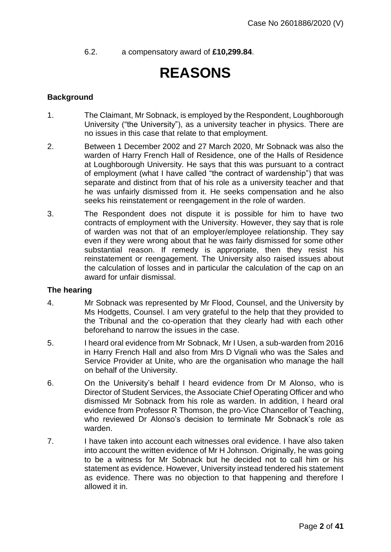6.2. a compensatory award of **£10,299.84**.

## **REASONS**

#### **Background**

- 1. The Claimant, Mr Sobnack, is employed by the Respondent, Loughborough University ("the University"), as a university teacher in physics. There are no issues in this case that relate to that employment.
- 2. Between 1 December 2002 and 27 March 2020, Mr Sobnack was also the warden of Harry French Hall of Residence, one of the Halls of Residence at Loughborough University. He says that this was pursuant to a contract of employment (what I have called "the contract of wardenship") that was separate and distinct from that of his role as a university teacher and that he was unfairly dismissed from it. He seeks compensation and he also seeks his reinstatement or reengagement in the role of warden.
- 3. The Respondent does not dispute it is possible for him to have two contracts of employment with the University. However, they say that is role of warden was not that of an employer/employee relationship. They say even if they were wrong about that he was fairly dismissed for some other substantial reason. If remedy is appropriate, then they resist his reinstatement or reengagement. The University also raised issues about the calculation of losses and in particular the calculation of the cap on an award for unfair dismissal.

#### **The hearing**

- 4. Mr Sobnack was represented by Mr Flood, Counsel, and the University by Ms Hodgetts, Counsel. I am very grateful to the help that they provided to the Tribunal and the co-operation that they clearly had with each other beforehand to narrow the issues in the case.
- 5. I heard oral evidence from Mr Sobnack, Mr I Usen, a sub-warden from 2016 in Harry French Hall and also from Mrs D Vignali who was the Sales and Service Provider at Unite, who are the organisation who manage the hall on behalf of the University.
- 6. On the University's behalf I heard evidence from Dr M Alonso, who is Director of Student Services, the Associate Chief Operating Officer and who dismissed Mr Sobnack from his role as warden. In addition, I heard oral evidence from Professor R Thomson, the pro-Vice Chancellor of Teaching, who reviewed Dr Alonso's decision to terminate Mr Sobnack's role as warden.
- 7. I have taken into account each witnesses oral evidence. I have also taken into account the written evidence of Mr H Johnson. Originally, he was going to be a witness for Mr Sobnack but he decided not to call him or his statement as evidence. However, University instead tendered his statement as evidence. There was no objection to that happening and therefore I allowed it in.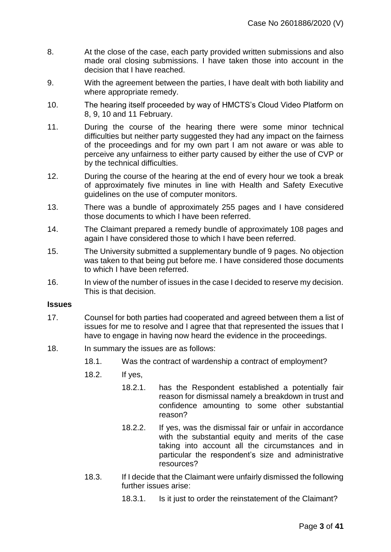- 8. At the close of the case, each party provided written submissions and also made oral closing submissions. I have taken those into account in the decision that I have reached.
- 9. With the agreement between the parties, I have dealt with both liability and where appropriate remedy.
- 10. The hearing itself proceeded by way of HMCTS's Cloud Video Platform on 8, 9, 10 and 11 February.
- 11. During the course of the hearing there were some minor technical difficulties but neither party suggested they had any impact on the fairness of the proceedings and for my own part I am not aware or was able to perceive any unfairness to either party caused by either the use of CVP or by the technical difficulties.
- 12. During the course of the hearing at the end of every hour we took a break of approximately five minutes in line with Health and Safety Executive guidelines on the use of computer monitors.
- 13. There was a bundle of approximately 255 pages and I have considered those documents to which I have been referred.
- 14. The Claimant prepared a remedy bundle of approximately 108 pages and again I have considered those to which I have been referred.
- 15. The University submitted a supplementary bundle of 9 pages. No objection was taken to that being put before me. I have considered those documents to which I have been referred.
- 16. In view of the number of issues in the case I decided to reserve my decision. This is that decision.

#### **Issues**

- 17. Counsel for both parties had cooperated and agreed between them a list of issues for me to resolve and I agree that that represented the issues that I have to engage in having now heard the evidence in the proceedings.
- 18. In summary the issues are as follows:
	- 18.1. Was the contract of wardenship a contract of employment?
	- 18.2. If yes,
		- 18.2.1. has the Respondent established a potentially fair reason for dismissal namely a breakdown in trust and confidence amounting to some other substantial reason?
		- 18.2.2. If yes, was the dismissal fair or unfair in accordance with the substantial equity and merits of the case taking into account all the circumstances and in particular the respondent's size and administrative resources?
	- 18.3. If I decide that the Claimant were unfairly dismissed the following further issues arise:
		- 18.3.1. Is it just to order the reinstatement of the Claimant?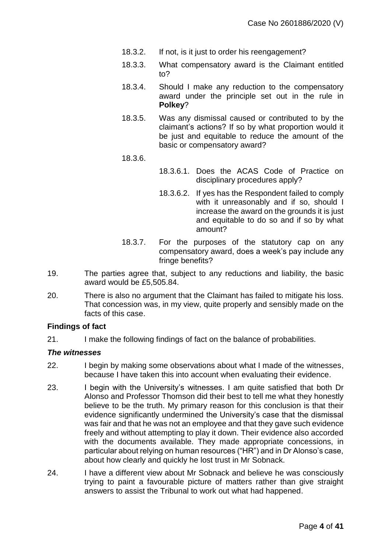- 18.3.2. If not, is it just to order his reengagement?
- 18.3.3. What compensatory award is the Claimant entitled to?
- 18.3.4. Should I make any reduction to the compensatory award under the principle set out in the rule in **Polkey**?
- 18.3.5. Was any dismissal caused or contributed to by the claimant's actions? If so by what proportion would it be just and equitable to reduce the amount of the basic or compensatory award?
- 18.3.6.
- 18.3.6.1. Does the ACAS Code of Practice on disciplinary procedures apply?
- 18.3.6.2. If yes has the Respondent failed to comply with it unreasonably and if so, should I increase the award on the grounds it is just and equitable to do so and if so by what amount?
- 18.3.7. For the purposes of the statutory cap on any compensatory award, does a week's pay include any fringe benefits?
- 19. The parties agree that, subject to any reductions and liability, the basic award would be £5,505.84.
- 20. There is also no argument that the Claimant has failed to mitigate his loss. That concession was, in my view, quite properly and sensibly made on the facts of this case.

#### **Findings of fact**

21. I make the following findings of fact on the balance of probabilities.

#### *The witnesses*

- 22. I begin by making some observations about what I made of the witnesses, because I have taken this into account when evaluating their evidence.
- 23. I begin with the University's witnesses. I am quite satisfied that both Dr Alonso and Professor Thomson did their best to tell me what they honestly believe to be the truth. My primary reason for this conclusion is that their evidence significantly undermined the University's case that the dismissal was fair and that he was not an employee and that they gave such evidence freely and without attempting to play it down. Their evidence also accorded with the documents available. They made appropriate concessions, in particular about relying on human resources ("HR") and in Dr Alonso's case, about how clearly and quickly he lost trust in Mr Sobnack.
- 24. I have a different view about Mr Sobnack and believe he was consciously trying to paint a favourable picture of matters rather than give straight answers to assist the Tribunal to work out what had happened.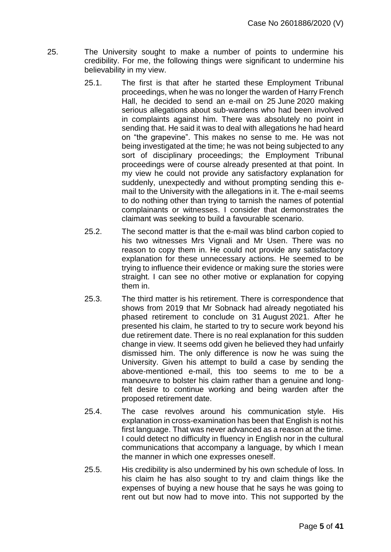- 25. The University sought to make a number of points to undermine his credibility. For me, the following things were significant to undermine his believability in my view.
	- 25.1. The first is that after he started these Employment Tribunal proceedings, when he was no longer the warden of Harry French Hall, he decided to send an e-mail on 25 June 2020 making serious allegations about sub-wardens who had been involved in complaints against him. There was absolutely no point in sending that. He said it was to deal with allegations he had heard on "the grapevine". This makes no sense to me. He was not being investigated at the time; he was not being subjected to any sort of disciplinary proceedings; the Employment Tribunal proceedings were of course already presented at that point. In my view he could not provide any satisfactory explanation for suddenly, unexpectedly and without prompting sending this email to the University with the allegations in it. The e-mail seems to do nothing other than trying to tarnish the names of potential complainants or witnesses. I consider that demonstrates the claimant was seeking to build a favourable scenario.
	- 25.2. The second matter is that the e-mail was blind carbon copied to his two witnesses Mrs Vignali and Mr Usen. There was no reason to copy them in. He could not provide any satisfactory explanation for these unnecessary actions. He seemed to be trying to influence their evidence or making sure the stories were straight. I can see no other motive or explanation for copying them in.
	- 25.3. The third matter is his retirement. There is correspondence that shows from 2019 that Mr Sobnack had already negotiated his phased retirement to conclude on 31 August 2021. After he presented his claim, he started to try to secure work beyond his due retirement date. There is no real explanation for this sudden change in view. It seems odd given he believed they had unfairly dismissed him. The only difference is now he was suing the University. Given his attempt to build a case by sending the above-mentioned e-mail, this too seems to me to be a manoeuvre to bolster his claim rather than a genuine and longfelt desire to continue working and being warden after the proposed retirement date.
	- 25.4. The case revolves around his communication style. His explanation in cross-examination has been that English is not his first language. That was never advanced as a reason at the time. I could detect no difficulty in fluency in English nor in the cultural communications that accompany a language, by which I mean the manner in which one expresses oneself.
	- 25.5. His credibility is also undermined by his own schedule of loss. In his claim he has also sought to try and claim things like the expenses of buying a new house that he says he was going to rent out but now had to move into. This not supported by the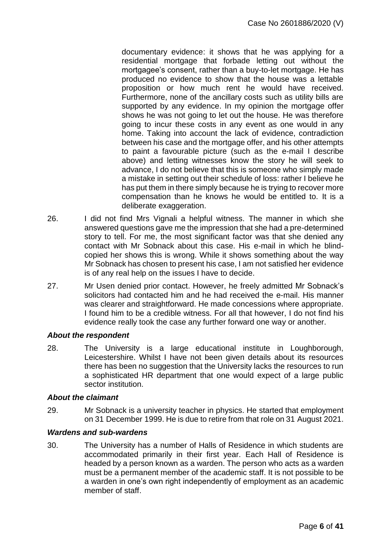documentary evidence: it shows that he was applying for a residential mortgage that forbade letting out without the mortgagee's consent, rather than a buy-to-let mortgage. He has produced no evidence to show that the house was a lettable proposition or how much rent he would have received. Furthermore, none of the ancillary costs such as utility bills are supported by any evidence. In my opinion the mortgage offer shows he was not going to let out the house. He was therefore going to incur these costs in any event as one would in any home. Taking into account the lack of evidence, contradiction between his case and the mortgage offer, and his other attempts to paint a favourable picture (such as the e-mail I describe above) and letting witnesses know the story he will seek to advance, I do not believe that this is someone who simply made a mistake in setting out their schedule of loss: rather I believe he has put them in there simply because he is trying to recover more compensation than he knows he would be entitled to. It is a deliberate exaggeration.

- 26. I did not find Mrs Vignali a helpful witness. The manner in which she answered questions gave me the impression that she had a pre-determined story to tell. For me, the most significant factor was that she denied any contact with Mr Sobnack about this case. His e-mail in which he blindcopied her shows this is wrong. While it shows something about the way Mr Sobnack has chosen to present his case, I am not satisfied her evidence is of any real help on the issues I have to decide.
- 27. Mr Usen denied prior contact. However, he freely admitted Mr Sobnack's solicitors had contacted him and he had received the e-mail. His manner was clearer and straightforward. He made concessions where appropriate. I found him to be a credible witness. For all that however, I do not find his evidence really took the case any further forward one way or another.

#### *About the respondent*

28. The University is a large educational institute in Loughborough, Leicestershire. Whilst I have not been given details about its resources there has been no suggestion that the University lacks the resources to run a sophisticated HR department that one would expect of a large public sector institution.

#### *About the claimant*

29. Mr Sobnack is a university teacher in physics. He started that employment on 31 December 1999. He is due to retire from that role on 31 August 2021.

#### *Wardens and sub-wardens*

30. The University has a number of Halls of Residence in which students are accommodated primarily in their first year. Each Hall of Residence is headed by a person known as a warden. The person who acts as a warden must be a permanent member of the academic staff. It is not possible to be a warden in one's own right independently of employment as an academic member of staff.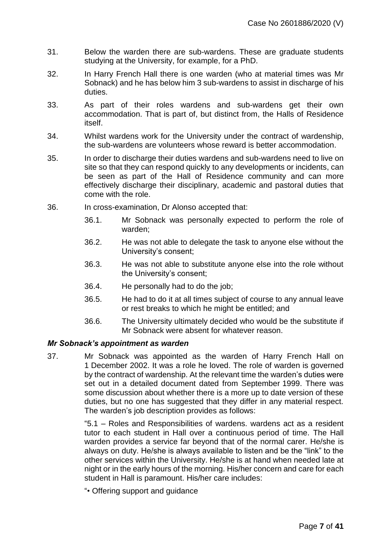- 31. Below the warden there are sub-wardens. These are graduate students studying at the University, for example, for a PhD.
- 32. In Harry French Hall there is one warden (who at material times was Mr Sobnack) and he has below him 3 sub-wardens to assist in discharge of his duties.
- 33. As part of their roles wardens and sub-wardens get their own accommodation. That is part of, but distinct from, the Halls of Residence itself.
- 34. Whilst wardens work for the University under the contract of wardenship, the sub-wardens are volunteers whose reward is better accommodation.
- 35. In order to discharge their duties wardens and sub-wardens need to live on site so that they can respond quickly to any developments or incidents, can be seen as part of the Hall of Residence community and can more effectively discharge their disciplinary, academic and pastoral duties that come with the role.
- 36. In cross-examination, Dr Alonso accepted that:
	- 36.1. Mr Sobnack was personally expected to perform the role of warden;
	- 36.2. He was not able to delegate the task to anyone else without the University's consent;
	- 36.3. He was not able to substitute anyone else into the role without the University's consent;
	- 36.4. He personally had to do the job;
	- 36.5. He had to do it at all times subject of course to any annual leave or rest breaks to which he might be entitled; and
	- 36.6. The University ultimately decided who would be the substitute if Mr Sobnack were absent for whatever reason.

#### *Mr Sobnack's appointment as warden*

37. Mr Sobnack was appointed as the warden of Harry French Hall on 1 December 2002. It was a role he loved. The role of warden is governed by the contract of wardenship. At the relevant time the warden's duties were set out in a detailed document dated from September 1999. There was some discussion about whether there is a more up to date version of these duties, but no one has suggested that they differ in any material respect. The warden's job description provides as follows:

> "5.1 – Roles and Responsibilities of wardens. wardens act as a resident tutor to each student in Hall over a continuous period of time. The Hall warden provides a service far beyond that of the normal carer. He/she is always on duty. He/she is always available to listen and be the "link" to the other services within the University. He/she is at hand when needed late at night or in the early hours of the morning. His/her concern and care for each student in Hall is paramount. His/her care includes:

"• Offering support and guidance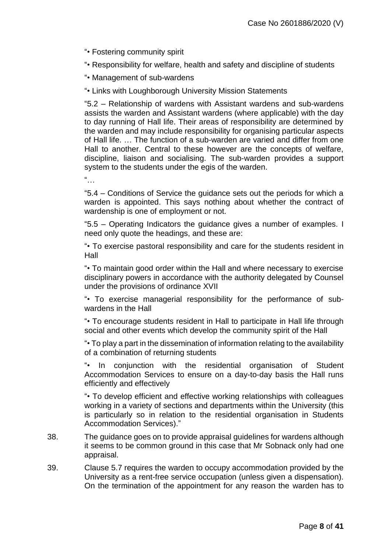"• Fostering community spirit

"• Responsibility for welfare, health and safety and discipline of students

"• Management of sub-wardens

"• Links with Loughborough University Mission Statements

"5.2 – Relationship of wardens with Assistant wardens and sub-wardens assists the warden and Assistant wardens (where applicable) with the day to day running of Hall life. Their areas of responsibility are determined by the warden and may include responsibility for organising particular aspects of Hall life. … The function of a sub-warden are varied and differ from one Hall to another. Central to these however are the concepts of welfare, discipline, liaison and socialising. The sub-warden provides a support system to the students under the egis of the warden.

 $\frac{a}{\sqrt{a}}$ 

"5.4 – Conditions of Service the guidance sets out the periods for which a warden is appointed. This says nothing about whether the contract of wardenship is one of employment or not.

"5.5 – Operating Indicators the guidance gives a number of examples. I need only quote the headings, and these are:

"• To exercise pastoral responsibility and care for the students resident in Hall

"• To maintain good order within the Hall and where necessary to exercise disciplinary powers in accordance with the authority delegated by Counsel under the provisions of ordinance XVII

"• To exercise managerial responsibility for the performance of subwardens in the Hall

"• To encourage students resident in Hall to participate in Hall life through social and other events which develop the community spirit of the Hall

"• To play a part in the dissemination of information relating to the availability of a combination of returning students

"• In conjunction with the residential organisation of Student Accommodation Services to ensure on a day-to-day basis the Hall runs efficiently and effectively

"• To develop efficient and effective working relationships with colleagues working in a variety of sections and departments within the University (this is particularly so in relation to the residential organisation in Students Accommodation Services)."

- 38. The guidance goes on to provide appraisal guidelines for wardens although it seems to be common ground in this case that Mr Sobnack only had one appraisal.
- 39. Clause 5.7 requires the warden to occupy accommodation provided by the University as a rent-free service occupation (unless given a dispensation). On the termination of the appointment for any reason the warden has to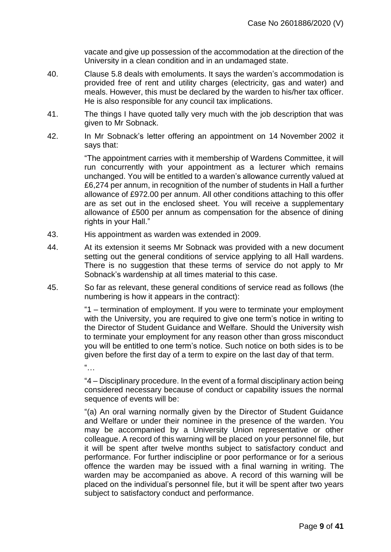vacate and give up possession of the accommodation at the direction of the University in a clean condition and in an undamaged state.

- 40. Clause 5.8 deals with emoluments. It says the warden's accommodation is provided free of rent and utility charges (electricity, gas and water) and meals. However, this must be declared by the warden to his/her tax officer. He is also responsible for any council tax implications.
- 41. The things I have quoted tally very much with the job description that was given to Mr Sobnack.
- 42. In Mr Sobnack's letter offering an appointment on 14 November 2002 it says that:

"The appointment carries with it membership of Wardens Committee, it will run concurrently with your appointment as a lecturer which remains unchanged. You will be entitled to a warden's allowance currently valued at £6,274 per annum, in recognition of the number of students in Hall a further allowance of £972.00 per annum. All other conditions attaching to this offer are as set out in the enclosed sheet. You will receive a supplementary allowance of £500 per annum as compensation for the absence of dining rights in your Hall."

- 43. His appointment as warden was extended in 2009.
- 44. At its extension it seems Mr Sobnack was provided with a new document setting out the general conditions of service applying to all Hall wardens. There is no suggestion that these terms of service do not apply to Mr Sobnack's wardenship at all times material to this case.
- 45. So far as relevant, these general conditions of service read as follows (the numbering is how it appears in the contract):

"1 – termination of employment. If you were to terminate your employment with the University, you are required to give one term's notice in writing to the Director of Student Guidance and Welfare. Should the University wish to terminate your employment for any reason other than gross misconduct you will be entitled to one term's notice. Such notice on both sides is to be given before the first day of a term to expire on the last day of that term.

"…

"4 – Disciplinary procedure. In the event of a formal disciplinary action being considered necessary because of conduct or capability issues the normal sequence of events will be:

"(a) An oral warning normally given by the Director of Student Guidance and Welfare or under their nominee in the presence of the warden. You may be accompanied by a University Union representative or other colleague. A record of this warning will be placed on your personnel file, but it will be spent after twelve months subject to satisfactory conduct and performance. For further indiscipline or poor performance or for a serious offence the warden may be issued with a final warning in writing. The warden may be accompanied as above. A record of this warning will be placed on the individual's personnel file, but it will be spent after two years subject to satisfactory conduct and performance.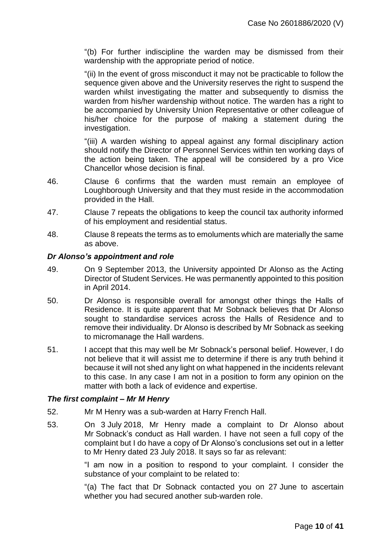"(b) For further indiscipline the warden may be dismissed from their wardenship with the appropriate period of notice.

"(ii) In the event of gross misconduct it may not be practicable to follow the sequence given above and the University reserves the right to suspend the warden whilst investigating the matter and subsequently to dismiss the warden from his/her wardenship without notice. The warden has a right to be accompanied by University Union Representative or other colleague of his/her choice for the purpose of making a statement during the investigation.

"(iii) A warden wishing to appeal against any formal disciplinary action should notify the Director of Personnel Services within ten working days of the action being taken. The appeal will be considered by a pro Vice Chancellor whose decision is final.

- 46. Clause 6 confirms that the warden must remain an employee of Loughborough University and that they must reside in the accommodation provided in the Hall.
- 47. Clause 7 repeats the obligations to keep the council tax authority informed of his employment and residential status.
- 48. Clause 8 repeats the terms as to emoluments which are materially the same as above.

#### *Dr Alonso's appointment and role*

- 49. On 9 September 2013, the University appointed Dr Alonso as the Acting Director of Student Services. He was permanently appointed to this position in April 2014.
- 50. Dr Alonso is responsible overall for amongst other things the Halls of Residence. It is quite apparent that Mr Sobnack believes that Dr Alonso sought to standardise services across the Halls of Residence and to remove their individuality. Dr Alonso is described by Mr Sobnack as seeking to micromanage the Hall wardens.
- 51. I accept that this may well be Mr Sobnack's personal belief. However, I do not believe that it will assist me to determine if there is any truth behind it because it will not shed any light on what happened in the incidents relevant to this case. In any case I am not in a position to form any opinion on the matter with both a lack of evidence and expertise.

#### *The first complaint – Mr M Henry*

- 52. Mr M Henry was a sub-warden at Harry French Hall.
- 53. On 3 July 2018, Mr Henry made a complaint to Dr Alonso about Mr Sobnack's conduct as Hall warden. I have not seen a full copy of the complaint but I do have a copy of Dr Alonso's conclusions set out in a letter to Mr Henry dated 23 July 2018. It says so far as relevant:

"I am now in a position to respond to your complaint. I consider the substance of your complaint to be related to:

"(a) The fact that Dr Sobnack contacted you on 27 June to ascertain whether you had secured another sub-warden role.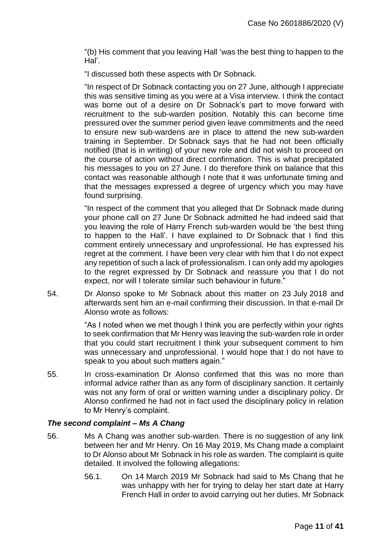"(b) His comment that you leaving Hall 'was the best thing to happen to the Hal'.

"I discussed both these aspects with Dr Sobnack.

"In respect of Dr Sobnack contacting you on 27 June, although I appreciate this was sensitive timing as you were at a Visa interview. I think the contact was borne out of a desire on Dr Sobnack's part to move forward with recruitment to the sub-warden position. Notably this can become time pressured over the summer period given leave commitments and the need to ensure new sub-wardens are in place to attend the new sub-warden training in September. Dr Sobnack says that he had not been officially notified (that is in writing) of your new role and did not wish to proceed on the course of action without direct confirmation. This is what precipitated his messages to you on 27 June. I do therefore think on balance that this contact was reasonable although I note that it was unfortunate timing and that the messages expressed a degree of urgency which you may have found surprising.

"In respect of the comment that you alleged that Dr Sobnack made during your phone call on 27 June Dr Sobnack admitted he had indeed said that you leaving the role of Harry French sub-warden would be 'the best thing to happen to the Hall'. I have explained to Dr Sobnack that I find this comment entirely unnecessary and unprofessional. He has expressed his regret at the comment. I have been very clear with him that I do not expect any repetition of such a lack of professionalism. I can only add my apologies to the regret expressed by Dr Sobnack and reassure you that I do not expect, nor will I tolerate similar such behaviour in future."

54. Dr Alonso spoke to Mr Sobnack about this matter on 23 July 2018 and afterwards sent him an e-mail confirming their discussion. In that e-mail Dr Alonso wrote as follows:

> "As I noted when we met though I think you are perfectly within your rights to seek confirmation that Mr Henry was leaving the sub-warden role in order that you could start recruitment I think your subsequent comment to him was unnecessary and unprofessional. I would hope that I do not have to speak to you about such matters again."

55. In cross-examination Dr Alonso confirmed that this was no more than informal advice rather than as any form of disciplinary sanction. It certainly was not any form of oral or written warning under a disciplinary policy. Dr Alonso confirmed he had not in fact used the disciplinary policy in relation to Mr Henry's complaint.

#### *The second complaint – Ms A Chang*

- 56. Ms A Chang was another sub-warden. There is no suggestion of any link between her and Mr Henry. On 16 May 2019, Ms Chang made a complaint to Dr Alonso about Mr Sobnack in his role as warden. The complaint is quite detailed. It involved the following allegations:
	- 56.1. On 14 March 2019 Mr Sobnack had said to Ms Chang that he was unhappy with her for trying to delay her start date at Harry French Hall in order to avoid carrying out her duties. Mr Sobnack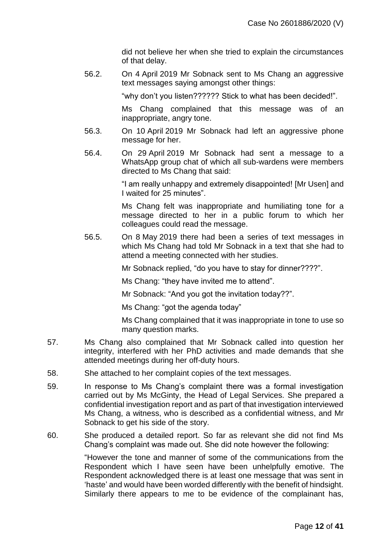did not believe her when she tried to explain the circumstances of that delay.

56.2. On 4 April 2019 Mr Sobnack sent to Ms Chang an aggressive text messages saying amongst other things:

"why don't you listen?????? Stick to what has been decided!".

Ms Chang complained that this message was of an inappropriate, angry tone.

- 56.3. On 10 April 2019 Mr Sobnack had left an aggressive phone message for her.
- 56.4. On 29 April 2019 Mr Sobnack had sent a message to a WhatsApp group chat of which all sub-wardens were members directed to Ms Chang that said:

"I am really unhappy and extremely disappointed! [Mr Usen] and I waited for 25 minutes".

Ms Chang felt was inappropriate and humiliating tone for a message directed to her in a public forum to which her colleagues could read the message.

56.5. On 8 May 2019 there had been a series of text messages in which Ms Chang had told Mr Sobnack in a text that she had to attend a meeting connected with her studies.

Mr Sobnack replied, "do you have to stay for dinner????".

Ms Chang: "they have invited me to attend".

Mr Sobnack: "And you got the invitation today??".

Ms Chang: "got the agenda today"

Ms Chang complained that it was inappropriate in tone to use so many question marks.

- 57. Ms Chang also complained that Mr Sobnack called into question her integrity, interfered with her PhD activities and made demands that she attended meetings during her off-duty hours.
- 58. She attached to her complaint copies of the text messages.
- 59. In response to Ms Chang's complaint there was a formal investigation carried out by Ms McGinty, the Head of Legal Services. She prepared a confidential investigation report and as part of that investigation interviewed Ms Chang, a witness, who is described as a confidential witness, and Mr Sobnack to get his side of the story.
- 60. She produced a detailed report. So far as relevant she did not find Ms Chang's complaint was made out. She did note however the following:

"However the tone and manner of some of the communications from the Respondent which I have seen have been unhelpfully emotive. The Respondent acknowledged there is at least one message that was sent in 'haste' and would have been worded differently with the benefit of hindsight. Similarly there appears to me to be evidence of the complainant has,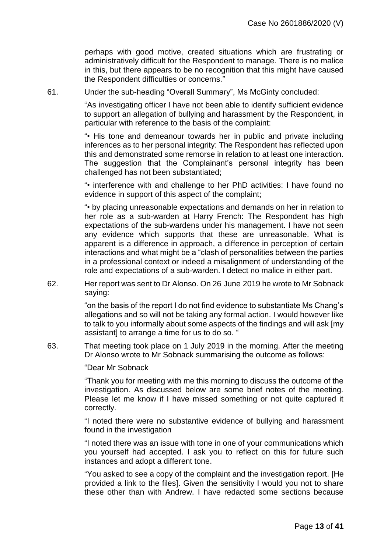perhaps with good motive, created situations which are frustrating or administratively difficult for the Respondent to manage. There is no malice in this, but there appears to be no recognition that this might have caused the Respondent difficulties or concerns.'

61. Under the sub-heading "Overall Summary", Ms McGinty concluded:

"As investigating officer I have not been able to identify sufficient evidence to support an allegation of bullying and harassment by the Respondent, in particular with reference to the basis of the complaint:

"• His tone and demeanour towards her in public and private including inferences as to her personal integrity: The Respondent has reflected upon this and demonstrated some remorse in relation to at least one interaction. The suggestion that the Complainant's personal integrity has been challenged has not been substantiated;

"• interference with and challenge to her PhD activities: I have found no evidence in support of this aspect of the complaint;

"• by placing unreasonable expectations and demands on her in relation to her role as a sub-warden at Harry French: The Respondent has high expectations of the sub-wardens under his management. I have not seen any evidence which supports that these are unreasonable. What is apparent is a difference in approach, a difference in perception of certain interactions and what might be a "clash of personalities between the parties in a professional context or indeed a misalignment of understanding of the role and expectations of a sub-warden. I detect no malice in either part.

62. Her report was sent to Dr Alonso. On 26 June 2019 he wrote to Mr Sobnack saying:

> "on the basis of the report I do not find evidence to substantiate Ms Chang's allegations and so will not be taking any formal action. I would however like to talk to you informally about some aspects of the findings and will ask [my assistant] to arrange a time for us to do so. "

63. That meeting took place on 1 July 2019 in the morning. After the meeting Dr Alonso wrote to Mr Sobnack summarising the outcome as follows:

"Dear Mr Sobnack

"Thank you for meeting with me this morning to discuss the outcome of the investigation. As discussed below are some brief notes of the meeting. Please let me know if I have missed something or not quite captured it correctly.

"I noted there were no substantive evidence of bullying and harassment found in the investigation

"I noted there was an issue with tone in one of your communications which you yourself had accepted. I ask you to reflect on this for future such instances and adopt a different tone.

"You asked to see a copy of the complaint and the investigation report. [He provided a link to the files]. Given the sensitivity I would you not to share these other than with Andrew. I have redacted some sections because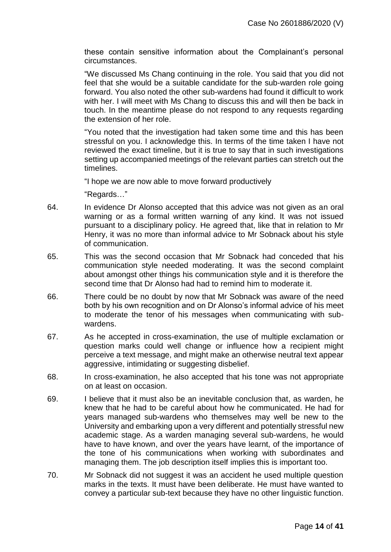these contain sensitive information about the Complainant's personal circumstances.

"We discussed Ms Chang continuing in the role. You said that you did not feel that she would be a suitable candidate for the sub-warden role going forward. You also noted the other sub-wardens had found it difficult to work with her. I will meet with Ms Chang to discuss this and will then be back in touch. In the meantime please do not respond to any requests regarding the extension of her role.

"You noted that the investigation had taken some time and this has been stressful on you. I acknowledge this. In terms of the time taken I have not reviewed the exact timeline, but it is true to say that in such investigations setting up accompanied meetings of the relevant parties can stretch out the timelines.

"I hope we are now able to move forward productively

"Regards…"

- 64. In evidence Dr Alonso accepted that this advice was not given as an oral warning or as a formal written warning of any kind. It was not issued pursuant to a disciplinary policy. He agreed that, like that in relation to Mr Henry, it was no more than informal advice to Mr Sobnack about his style of communication.
- 65. This was the second occasion that Mr Sobnack had conceded that his communication style needed moderating. It was the second complaint about amongst other things his communication style and it is therefore the second time that Dr Alonso had had to remind him to moderate it.
- 66. There could be no doubt by now that Mr Sobnack was aware of the need both by his own recognition and on Dr Alonso's informal advice of his meet to moderate the tenor of his messages when communicating with subwardens.
- 67. As he accepted in cross-examination, the use of multiple exclamation or question marks could well change or influence how a recipient might perceive a text message, and might make an otherwise neutral text appear aggressive, intimidating or suggesting disbelief.
- 68. In cross-examination, he also accepted that his tone was not appropriate on at least on occasion.
- 69. I believe that it must also be an inevitable conclusion that, as warden, he knew that he had to be careful about how he communicated. He had for years managed sub-wardens who themselves may well be new to the University and embarking upon a very different and potentially stressful new academic stage. As a warden managing several sub-wardens, he would have to have known, and over the years have learnt, of the importance of the tone of his communications when working with subordinates and managing them. The job description itself implies this is important too.
- 70. Mr Sobnack did not suggest it was an accident he used multiple question marks in the texts. It must have been deliberate. He must have wanted to convey a particular sub-text because they have no other linguistic function.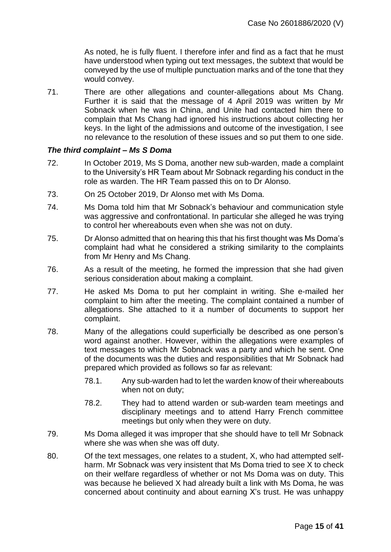As noted, he is fully fluent. I therefore infer and find as a fact that he must have understood when typing out text messages, the subtext that would be conveyed by the use of multiple punctuation marks and of the tone that they would convey.

71. There are other allegations and counter-allegations about Ms Chang. Further it is said that the message of 4 April 2019 was written by Mr Sobnack when he was in China, and Unite had contacted him there to complain that Ms Chang had ignored his instructions about collecting her keys. In the light of the admissions and outcome of the investigation, I see no relevance to the resolution of these issues and so put them to one side.

#### *The third complaint – Ms S Doma*

- 72. In October 2019, Ms S Doma, another new sub-warden, made a complaint to the University's HR Team about Mr Sobnack regarding his conduct in the role as warden. The HR Team passed this on to Dr Alonso.
- 73. On 25 October 2019, Dr Alonso met with Ms Doma.
- 74. Ms Doma told him that Mr Sobnack's behaviour and communication style was aggressive and confrontational. In particular she alleged he was trying to control her whereabouts even when she was not on duty.
- 75. Dr Alonso admitted that on hearing this that his first thought was Ms Doma's complaint had what he considered a striking similarity to the complaints from Mr Henry and Ms Chang.
- 76. As a result of the meeting, he formed the impression that she had given serious consideration about making a complaint.
- 77. He asked Ms Doma to put her complaint in writing. She e-mailed her complaint to him after the meeting. The complaint contained a number of allegations. She attached to it a number of documents to support her complaint.
- 78. Many of the allegations could superficially be described as one person's word against another. However, within the allegations were examples of text messages to which Mr Sobnack was a party and which he sent. One of the documents was the duties and responsibilities that Mr Sobnack had prepared which provided as follows so far as relevant:
	- 78.1. Any sub-warden had to let the warden know of their whereabouts when not on duty;
	- 78.2. They had to attend warden or sub-warden team meetings and disciplinary meetings and to attend Harry French committee meetings but only when they were on duty.
- 79. Ms Doma alleged it was improper that she should have to tell Mr Sobnack where she was when she was off duty.
- 80. Of the text messages, one relates to a student, X, who had attempted selfharm. Mr Sobnack was very insistent that Ms Doma tried to see X to check on their welfare regardless of whether or not Ms Doma was on duty. This was because he believed X had already built a link with Ms Doma, he was concerned about continuity and about earning X's trust. He was unhappy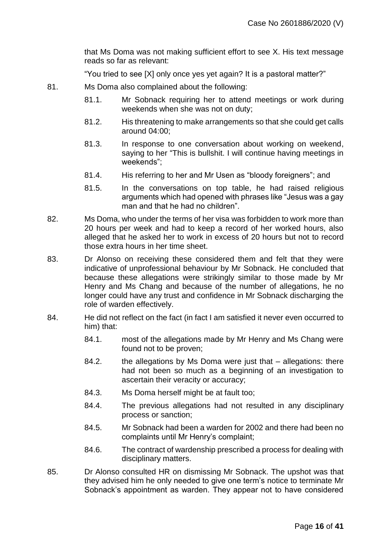that Ms Doma was not making sufficient effort to see X. His text message reads so far as relevant:

"You tried to see [X] only once yes yet again? It is a pastoral matter?"

- 81. Ms Doma also complained about the following:
	- 81.1. Mr Sobnack requiring her to attend meetings or work during weekends when she was not on duty;
	- 81.2. His threatening to make arrangements so that she could get calls around 04:00;
	- 81.3. In response to one conversation about working on weekend, saying to her "This is bullshit. I will continue having meetings in weekends";
	- 81.4. His referring to her and Mr Usen as "bloody foreigners"; and
	- 81.5. In the conversations on top table, he had raised religious arguments which had opened with phrases like "Jesus was a gay man and that he had no children".
- 82. Ms Doma, who under the terms of her visa was forbidden to work more than 20 hours per week and had to keep a record of her worked hours, also alleged that he asked her to work in excess of 20 hours but not to record those extra hours in her time sheet.
- 83. Dr Alonso on receiving these considered them and felt that they were indicative of unprofessional behaviour by Mr Sobnack. He concluded that because these allegations were strikingly similar to those made by Mr Henry and Ms Chang and because of the number of allegations, he no longer could have any trust and confidence in Mr Sobnack discharging the role of warden effectively.
- 84. He did not reflect on the fact (in fact I am satisfied it never even occurred to him) that:
	- 84.1. most of the allegations made by Mr Henry and Ms Chang were found not to be proven;
	- 84.2. the allegations by Ms Doma were just that allegations: there had not been so much as a beginning of an investigation to ascertain their veracity or accuracy;
	- 84.3. Ms Doma herself might be at fault too;
	- 84.4. The previous allegations had not resulted in any disciplinary process or sanction;
	- 84.5. Mr Sobnack had been a warden for 2002 and there had been no complaints until Mr Henry's complaint;
	- 84.6. The contract of wardenship prescribed a process for dealing with disciplinary matters.
- 85. Dr Alonso consulted HR on dismissing Mr Sobnack. The upshot was that they advised him he only needed to give one term's notice to terminate Mr Sobnack's appointment as warden. They appear not to have considered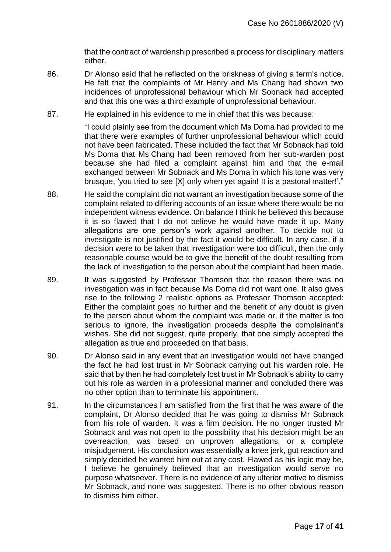that the contract of wardenship prescribed a process for disciplinary matters either.

- 86. Dr Alonso said that he reflected on the briskness of giving a term's notice. He felt that the complaints of Mr Henry and Ms Chang had shown two incidences of unprofessional behaviour which Mr Sobnack had accepted and that this one was a third example of unprofessional behaviour.
- 87. He explained in his evidence to me in chief that this was because:

"I could plainly see from the document which Ms Doma had provided to me that there were examples of further unprofessional behaviour which could not have been fabricated. These included the fact that Mr Sobnack had told Ms Doma that Ms Chang had been removed from her sub-warden post because she had filed a complaint against him and that the e-mail exchanged between Mr Sobnack and Ms Doma in which his tone was very brusque, 'you tried to see [X] only when yet again! It is a pastoral matter!'."

- 88. He said the complaint did not warrant an investigation because some of the complaint related to differing accounts of an issue where there would be no independent witness evidence. On balance I think he believed this because it is so flawed that I do not believe he would have made it up. Many allegations are one person's work against another. To decide not to investigate is not justified by the fact it would be difficult. In any case, if a decision were to be taken that investigation were too difficult, then the only reasonable course would be to give the benefit of the doubt resulting from the lack of investigation to the person about the complaint had been made.
- 89. It was suggested by Professor Thomson that the reason there was no investigation was in fact because Ms Doma did not want one. It also gives rise to the following 2 realistic options as Professor Thomson accepted: Either the complaint goes no further and the benefit of any doubt is given to the person about whom the complaint was made or, if the matter is too serious to ignore, the investigation proceeds despite the complainant's wishes. She did not suggest, quite properly, that one simply accepted the allegation as true and proceeded on that basis.
- 90. Dr Alonso said in any event that an investigation would not have changed the fact he had lost trust in Mr Sobnack carrying out his warden role. He said that by then he had completely lost trust in Mr Sobnack's ability to carry out his role as warden in a professional manner and concluded there was no other option than to terminate his appointment.
- 91. In the circumstances I am satisfied from the first that he was aware of the complaint, Dr Alonso decided that he was going to dismiss Mr Sobnack from his role of warden. It was a firm decision. He no longer trusted Mr Sobnack and was not open to the possibility that his decision might be an overreaction, was based on unproven allegations, or a complete misjudgement. His conclusion was essentially a knee jerk, gut reaction and simply decided he wanted him out at any cost. Flawed as his logic may be, I believe he genuinely believed that an investigation would serve no purpose whatsoever. There is no evidence of any ulterior motive to dismiss Mr Sobnack, and none was suggested. There is no other obvious reason to dismiss him either.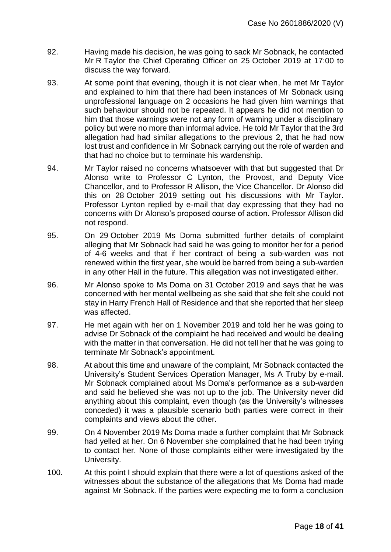- 92. Having made his decision, he was going to sack Mr Sobnack, he contacted Mr R Taylor the Chief Operating Officer on 25 October 2019 at 17:00 to discuss the way forward.
- 93. At some point that evening, though it is not clear when, he met Mr Taylor and explained to him that there had been instances of Mr Sobnack using unprofessional language on 2 occasions he had given him warnings that such behaviour should not be repeated. It appears he did not mention to him that those warnings were not any form of warning under a disciplinary policy but were no more than informal advice. He told Mr Taylor that the 3rd allegation had had similar allegations to the previous 2, that he had now lost trust and confidence in Mr Sobnack carrying out the role of warden and that had no choice but to terminate his wardenship.
- 94. Mr Taylor raised no concerns whatsoever with that but suggested that Dr Alonso write to Professor C Lynton, the Provost, and Deputy Vice Chancellor, and to Professor R Allison, the Vice Chancellor. Dr Alonso did this on 28 October 2019 setting out his discussions with Mr Taylor. Professor Lynton replied by e-mail that day expressing that they had no concerns with Dr Alonso's proposed course of action. Professor Allison did not respond.
- 95. On 29 October 2019 Ms Doma submitted further details of complaint alleging that Mr Sobnack had said he was going to monitor her for a period of 4-6 weeks and that if her contract of being a sub-warden was not renewed within the first year, she would be barred from being a sub-warden in any other Hall in the future. This allegation was not investigated either.
- 96. Mr Alonso spoke to Ms Doma on 31 October 2019 and says that he was concerned with her mental wellbeing as she said that she felt she could not stay in Harry French Hall of Residence and that she reported that her sleep was affected.
- 97. He met again with her on 1 November 2019 and told her he was going to advise Dr Sobnack of the complaint he had received and would be dealing with the matter in that conversation. He did not tell her that he was going to terminate Mr Sobnack's appointment.
- 98. At about this time and unaware of the complaint, Mr Sobnack contacted the University's Student Services Operation Manager, Ms A Truby by e-mail. Mr Sobnack complained about Ms Doma's performance as a sub-warden and said he believed she was not up to the job. The University never did anything about this complaint, even though (as the University's witnesses conceded) it was a plausible scenario both parties were correct in their complaints and views about the other.
- 99. On 4 November 2019 Ms Doma made a further complaint that Mr Sobnack had yelled at her. On 6 November she complained that he had been trying to contact her. None of those complaints either were investigated by the University.
- 100. At this point I should explain that there were a lot of questions asked of the witnesses about the substance of the allegations that Ms Doma had made against Mr Sobnack. If the parties were expecting me to form a conclusion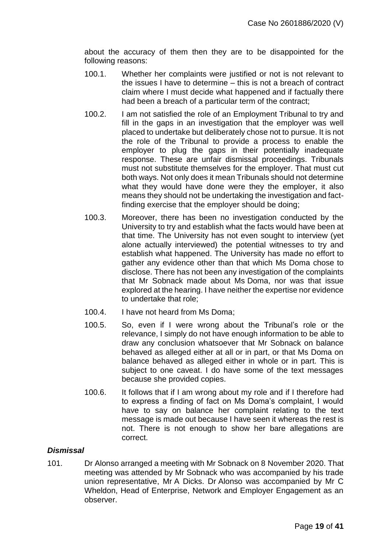about the accuracy of them then they are to be disappointed for the following reasons:

- 100.1. Whether her complaints were justified or not is not relevant to the issues I have to determine – this is not a breach of contract claim where I must decide what happened and if factually there had been a breach of a particular term of the contract;
- 100.2. I am not satisfied the role of an Employment Tribunal to try and fill in the gaps in an investigation that the employer was well placed to undertake but deliberately chose not to pursue. It is not the role of the Tribunal to provide a process to enable the employer to plug the gaps in their potentially inadequate response. These are unfair dismissal proceedings. Tribunals must not substitute themselves for the employer. That must cut both ways. Not only does it mean Tribunals should not determine what they would have done were they the employer, it also means they should not be undertaking the investigation and factfinding exercise that the employer should be doing;
- 100.3. Moreover, there has been no investigation conducted by the University to try and establish what the facts would have been at that time. The University has not even sought to interview (yet alone actually interviewed) the potential witnesses to try and establish what happened. The University has made no effort to gather any evidence other than that which Ms Doma chose to disclose. There has not been any investigation of the complaints that Mr Sobnack made about Ms Doma, nor was that issue explored at the hearing. I have neither the expertise nor evidence to undertake that role;
- 100.4. I have not heard from Ms Doma;
- 100.5. So, even if I were wrong about the Tribunal's role or the relevance, I simply do not have enough information to be able to draw any conclusion whatsoever that Mr Sobnack on balance behaved as alleged either at all or in part, or that Ms Doma on balance behaved as alleged either in whole or in part. This is subject to one caveat. I do have some of the text messages because she provided copies.
- 100.6. It follows that if I am wrong about my role and if I therefore had to express a finding of fact on Ms Doma's complaint, I would have to say on balance her complaint relating to the text message is made out because I have seen it whereas the rest is not. There is not enough to show her bare allegations are correct.

## *Dismissal*

101. Dr Alonso arranged a meeting with Mr Sobnack on 8 November 2020. That meeting was attended by Mr Sobnack who was accompanied by his trade union representative, Mr A Dicks. Dr Alonso was accompanied by Mr C Wheldon, Head of Enterprise, Network and Employer Engagement as an observer.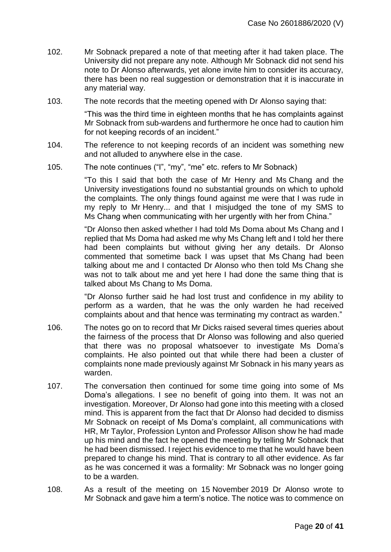- 102. Mr Sobnack prepared a note of that meeting after it had taken place. The University did not prepare any note. Although Mr Sobnack did not send his note to Dr Alonso afterwards, yet alone invite him to consider its accuracy, there has been no real suggestion or demonstration that it is inaccurate in any material way.
- 103. The note records that the meeting opened with Dr Alonso saying that:

"This was the third time in eighteen months that he has complaints against Mr Sobnack from sub-wardens and furthermore he once had to caution him for not keeping records of an incident."

- 104. The reference to not keeping records of an incident was something new and not alluded to anywhere else in the case.
- 105. The note continues ("I", "my", "me" etc. refers to Mr Sobnack)

"To this I said that both the case of Mr Henry and Ms Chang and the University investigations found no substantial grounds on which to uphold the complaints. The only things found against me were that I was rude in my reply to Mr Henry... and that I misjudged the tone of my SMS to Ms Chang when communicating with her urgently with her from China."

"Dr Alonso then asked whether I had told Ms Doma about Ms Chang and I replied that Ms Doma had asked me why Ms Chang left and I told her there had been complaints but without giving her any details. Dr Alonso commented that sometime back I was upset that Ms Chang had been talking about me and I contacted Dr Alonso who then told Ms Chang she was not to talk about me and yet here I had done the same thing that is talked about Ms Chang to Ms Doma.

"Dr Alonso further said he had lost trust and confidence in my ability to perform as a warden, that he was the only warden he had received complaints about and that hence was terminating my contract as warden."

- 106. The notes go on to record that Mr Dicks raised several times queries about the fairness of the process that Dr Alonso was following and also queried that there was no proposal whatsoever to investigate Ms Doma's complaints. He also pointed out that while there had been a cluster of complaints none made previously against Mr Sobnack in his many years as warden.
- 107. The conversation then continued for some time going into some of Ms Doma's allegations. I see no benefit of going into them. It was not an investigation. Moreover, Dr Alonso had gone into this meeting with a closed mind. This is apparent from the fact that Dr Alonso had decided to dismiss Mr Sobnack on receipt of Ms Doma's complaint, all communications with HR, Mr Taylor, Profession Lynton and Professor Allison show he had made up his mind and the fact he opened the meeting by telling Mr Sobnack that he had been dismissed. I reject his evidence to me that he would have been prepared to change his mind. That is contrary to all other evidence. As far as he was concerned it was a formality: Mr Sobnack was no longer going to be a warden.
- 108. As a result of the meeting on 15 November 2019 Dr Alonso wrote to Mr Sobnack and gave him a term's notice. The notice was to commence on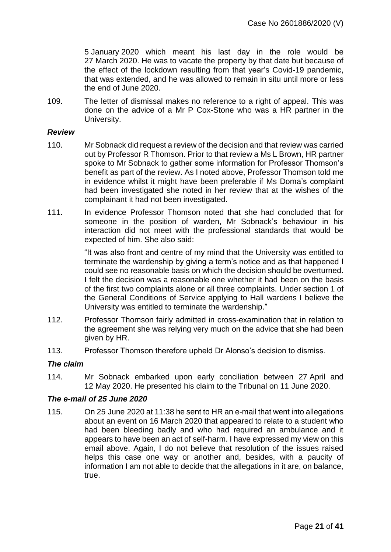5 January 2020 which meant his last day in the role would be 27 March 2020. He was to vacate the property by that date but because of the effect of the lockdown resulting from that year's Covid-19 pandemic, that was extended, and he was allowed to remain in situ until more or less the end of June 2020.

109. The letter of dismissal makes no reference to a right of appeal. This was done on the advice of a Mr P Cox-Stone who was a HR partner in the University.

#### *Review*

- 110. Mr Sobnack did request a review of the decision and that review was carried out by Professor R Thomson. Prior to that review a Ms L Brown, HR partner spoke to Mr Sobnack to gather some information for Professor Thomson's benefit as part of the review. As I noted above, Professor Thomson told me in evidence whilst it might have been preferable if Ms Doma's complaint had been investigated she noted in her review that at the wishes of the complainant it had not been investigated.
- 111. In evidence Professor Thomson noted that she had concluded that for someone in the position of warden, Mr Sobnack's behaviour in his interaction did not meet with the professional standards that would be expected of him. She also said:

"It was also front and centre of my mind that the University was entitled to terminate the wardenship by giving a term's notice and as that happened I could see no reasonable basis on which the decision should be overturned. I felt the decision was a reasonable one whether it had been on the basis of the first two complaints alone or all three complaints. Under section 1 of the General Conditions of Service applying to Hall wardens I believe the University was entitled to terminate the wardenship."

- 112. Professor Thomson fairly admitted in cross-examination that in relation to the agreement she was relying very much on the advice that she had been given by HR.
- 113. Professor Thomson therefore upheld Dr Alonso's decision to dismiss.

#### *The claim*

114. Mr Sobnack embarked upon early conciliation between 27 April and 12 May 2020. He presented his claim to the Tribunal on 11 June 2020.

#### *The e-mail of 25 June 2020*

115. On 25 June 2020 at 11:38 he sent to HR an e-mail that went into allegations about an event on 16 March 2020 that appeared to relate to a student who had been bleeding badly and who had required an ambulance and it appears to have been an act of self-harm. I have expressed my view on this email above. Again, I do not believe that resolution of the issues raised helps this case one way or another and, besides, with a paucity of information I am not able to decide that the allegations in it are, on balance, true.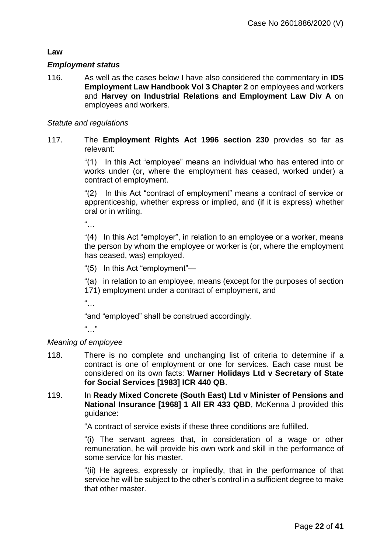### **Law**

#### *Employment status*

116. As well as the cases below I have also considered the commentary in **IDS Employment Law Handbook Vol 3 Chapter 2** on employees and workers and **Harvey on Industrial Relations and Employment Law Div A** on employees and workers.

#### *Statute and regulations*

117. The **Employment Rights Act 1996 section 230** provides so far as relevant:

> "(1) In this Act "employee" means an individual who has entered into or works under (or, where the employment has ceased, worked under) a contract of employment.

> "(2) In this Act "contract of employment" means a contract of service or apprenticeship, whether express or implied, and (if it is express) whether oral or in writing.

 $"$ …

"(4) In this Act "employer", in relation to an employee or a worker, means the person by whom the employee or worker is (or, where the employment has ceased, was) employed.

"(5) In this Act "employment"—

"(a) in relation to an employee, means (except for the purposes of section 171) employment under a contract of employment, and

 $\frac{a}{\sqrt{a}}$ .

"and "employed" shall be construed accordingly.

...<br>...

#### *Meaning of employee*

- 118. There is no complete and unchanging list of criteria to determine if a contract is one of employment or one for services. Each case must be considered on its own facts: **Warner Holidays Ltd v Secretary of State for Social Services [1983] ICR 440 QB**.
- 119. In **[Ready Mixed Concrete \(South East\) Ltd v Minister of Pensions and](https://uk.westlaw.com/Link/Document/FullText?findType=Y&serNum=1968018083&pubNum=3898&originatingDoc=IF7E00B2055E011E79153C39CF1D5DBAB&refType=UC&originationContext=document&transitionType=CommentaryUKLink&contextData=(sc.Category))  [National Insurance \[1968\]](https://uk.westlaw.com/Link/Document/FullText?findType=Y&serNum=1968018083&pubNum=3898&originatingDoc=IF7E00B2055E011E79153C39CF1D5DBAB&refType=UC&originationContext=document&transitionType=CommentaryUKLink&contextData=(sc.Category)) 1 All ER 433 QBD**, McKenna J provided this guidance:

"A contract of service exists if these three conditions are fulfilled.

"(i) The servant agrees that, in consideration of a wage or other remuneration, he will provide his own work and skill in the performance of some service for his master.

"(ii) He agrees, expressly or impliedly, that in the performance of that service he will be subject to the other's control in a sufficient degree to make that other master.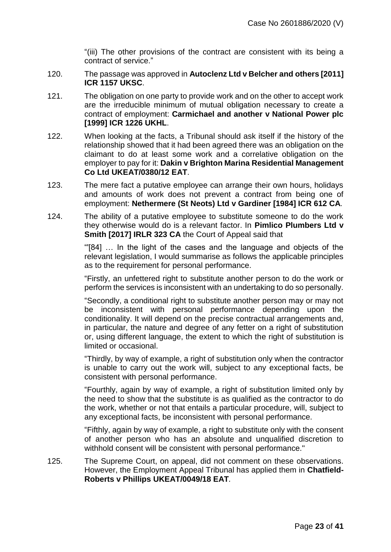"(iii) The other provisions of the contract are consistent with its being a contract of service."

- 120. The passage was approved in **[Autoclenz Ltd v Belcher and others](https://uk.westlaw.com/Link/Document/FullText?findType=Y&serNum=2025669930&pubNum=7640&originatingDoc=IF7E00B2055E011E79153C39CF1D5DBAB&refType=UC&originationContext=document&transitionType=CommentaryUKLink&contextData=(sc.Category)) [2011] [ICR 1157](https://uk.westlaw.com/Link/Document/FullText?findType=Y&serNum=2025669930&pubNum=7640&originatingDoc=IF7E00B2055E011E79153C39CF1D5DBAB&refType=UC&originationContext=document&transitionType=CommentaryUKLink&contextData=(sc.Category)) UKSC**.
- 121. The obligation on one party to provide work and on the other to accept work are the irreducible minimum of mutual obligation necessary to create a contract of employment: **[Carmichael and another v National Power plc](https://uk.westlaw.com/Link/Document/FullText?findType=Y&serNum=1999249052&pubNum=4891&originatingDoc=IF7E00B2055E011E79153C39CF1D5DBAB&refType=UC&originationContext=document&transitionType=CommentaryUKLink&contextData=(sc.Category))  [\[1999\] ICR 1226 UKHL](https://uk.westlaw.com/Link/Document/FullText?findType=Y&serNum=1999249052&pubNum=4891&originatingDoc=IF7E00B2055E011E79153C39CF1D5DBAB&refType=UC&originationContext=document&transitionType=CommentaryUKLink&contextData=(sc.Category))**.
- 122. When looking at the facts, a Tribunal should ask itself if the history of the relationship showed that it had been agreed there was an obligation on the claimant to do at least some work and a correlative obligation on the employer to pay for it: **[Dakin v Brighton Marina Residential Management](https://uk.westlaw.com/Link/Document/FullText?findType=Y&serNum=2031150629&pubNum=8105&originatingDoc=I0D2F84B055E111E79153C39CF1D5DBAB&refType=UC&originationContext=document&transitionType=CommentaryUKLink&contextData=(sc.Category))  [Co Ltd UKEAT/0380/12](https://uk.westlaw.com/Link/Document/FullText?findType=Y&serNum=2031150629&pubNum=8105&originatingDoc=I0D2F84B055E111E79153C39CF1D5DBAB&refType=UC&originationContext=document&transitionType=CommentaryUKLink&contextData=(sc.Category)) EAT**.
- 123. The mere fact a putative employee can arrange their own hours, holidays and amounts of work does not prevent a contract from being one of employment: **Nethermere (St Neots) Ltd v Gardiner [1984] ICR 612 CA***.*
- 124. The ability of a putative employee to substitute someone to do the work they otherwise would do is a relevant factor. In **Pimlico Plumbers Ltd v Smith [\[2017\] IRLR 323](https://www.lexisnexis.com/uk/legal/search/enhRunRemoteLink.do?linkInfo=F%23GB%23IRLR%23sel1%252017%25year%252017%25page%25323%25&A=0.4712434088304458&backKey=20_T29141912044&service=citation&ersKey=23_T29141912043&langcountry=GB) CA** the Court of Appeal said that

"'[84] … In the light of the cases and the language and objects of the relevant legislation, I would summarise as follows the applicable principles as to the requirement for personal performance.

"Firstly, an unfettered right to substitute another person to do the work or perform the services is inconsistent with an undertaking to do so personally.

"Secondly, a conditional right to substitute another person may or may not be inconsistent with personal performance depending upon the conditionality. It will depend on the precise contractual arrangements and, in particular, the nature and degree of any fetter on a right of substitution or, using different language, the extent to which the right of substitution is limited or occasional.

"Thirdly, by way of example, a right of substitution only when the contractor is unable to carry out the work will, subject to any exceptional facts, be consistent with personal performance.

"Fourthly, again by way of example, a right of substitution limited only by the need to show that the substitute is as qualified as the contractor to do the work, whether or not that entails a particular procedure, will, subject to any exceptional facts, be inconsistent with personal performance.

"Fifthly, again by way of example, a right to substitute only with the consent of another person who has an absolute and unqualified discretion to withhold consent will be consistent with personal performance.''

125. The Supreme Court, on appeal, did not comment on these observations. However, the Employment Appeal Tribunal has applied them in **Chatfield-Roberts v Phillips UKEAT/0049/18 EAT***.*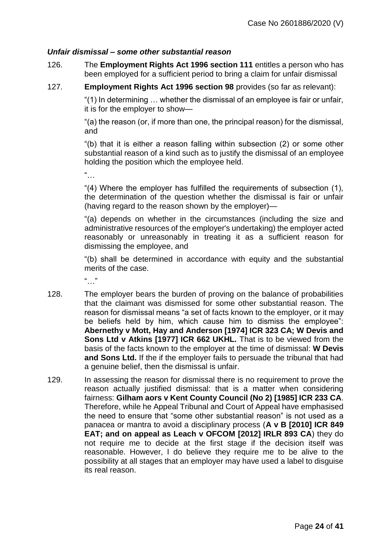#### *Unfair dismissal – some other substantial reason*

- 126. The **Employment Rights Act 1996 section 111** entitles a person who has been employed for a sufficient period to bring a claim for unfair dismissal
- 127. **Employment Rights Act 1996 section 98** provides (so far as relevant):

"(1) In determining … whether the dismissal of an employee is fair or unfair, it is for the employer to show—

"(a) the reason (or, if more than one, the principal reason) for the dismissal, and

"(b) that it is either a reason falling within subsection (2) or some other substantial reason of a kind such as to justify the dismissal of an employee holding the position which the employee held.

"…

"(4) Where the employer has fulfilled the requirements of subsection (1), the determination of the question whether the dismissal is fair or unfair (having regard to the reason shown by the employer)—

"(a) depends on whether in the circumstances (including the size and administrative resources of the employer's undertaking) the employer acted reasonably or unreasonably in treating it as a sufficient reason for dismissing the employee, and

"(b) shall be determined in accordance with equity and the substantial merits of the case.

"…"

- 128. The employer bears the burden of proving on the balance of probabilities that the claimant was dismissed for some other substantial reason. The reason for dismissal means "a set of facts known to the employer, or it may be beliefs held by him, which cause him to dismiss the employee": **Abernethy v Mott, Hay and Anderson [1974] ICR 323 CA; W Devis and Sons Ltd v Atkins [1977] ICR 662 UKHL.** That is to be viewed from the basis of the facts known to the employer at the time of dismissal: **W Devis and Sons Ltd.** If the if the employer fails to persuade the tribunal that had a genuine belief, then the dismissal is unfair.
- 129. In assessing the reason for dismissal there is no requirement to prove the reason actually justified dismissal: that is a matter when considering fairness: **Gilham aors v Kent County Council (No 2) [1985] ICR 233 CA**. Therefore, while he Appeal Tribunal and Court of Appeal have emphasised the need to ensure that "some other substantial reason" is not used as a panacea or mantra to avoid a disciplinary process (**A v B [2010] ICR 849 EAT; and on appeal as Leach v OFCOM [2012] IRLR 893 CA**) they do not require me to decide at the first stage if the decision itself was reasonable. However, I do believe they require me to be alive to the possibility at all stages that an employer may have used a label to disguise its real reason.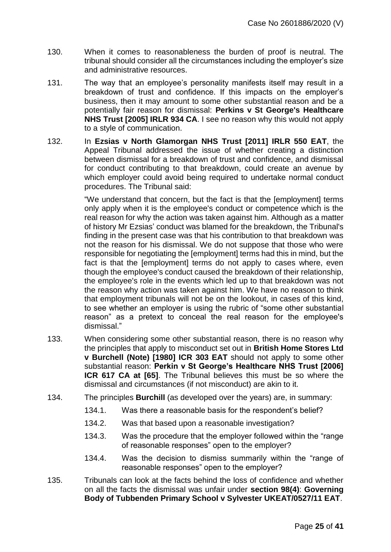- 130. When it comes to reasonableness the burden of proof is neutral. The tribunal should consider all the circumstances including the employer's size and administrative resources.
- 131. The way that an employee's personality manifests itself may result in a breakdown of trust and confidence. If this impacts on the employer's business, then it may amount to some other substantial reason and be a potentially fair reason for dismissal: **Perkins v St George's Healthcare NHS Trust [2005] IRLR 934 CA**. I see no reason why this would not apply to a style of communication.
- 132. In **Ezsias v North Glamorgan NHS Trust [2011] IRLR 550 EAT**, the Appeal Tribunal addressed the issue of whether creating a distinction between dismissal for a breakdown of trust and confidence, and dismissal for conduct contributing to that breakdown, could create an avenue by which employer could avoid being required to undertake normal conduct procedures. The Tribunal said:

"We understand that concern, but the fact is that the [employment] terms only apply when it is the employee's conduct or competence which is the real reason for why the action was taken against him. Although as a matter of history Mr Ezsias' conduct was blamed for the breakdown, the Tribunal's finding in the present case was that his contribution to that breakdown was not the reason for his dismissal. We do not suppose that those who were responsible for negotiating the [employment] terms had this in mind, but the fact is that the [employment] terms do not apply to cases where, even though the employee's conduct caused the breakdown of their relationship, the employee's role in the events which led up to that breakdown was not the reason why action was taken against him. We have no reason to think that employment tribunals will not be on the lookout, in cases of this kind, to see whether an employer is using the rubric of "some other substantial reason" as a pretext to conceal the real reason for the employee's dismissal."

- 133. When considering some other substantial reason, there is no reason why the principles that apply to misconduct set out in **British Home Stores Ltd v Burchell (Note) [1980] ICR 303 EAT** should not apply to some other substantial reason: **Perkin v St George's Healthcare NHS Trust [2006] ICR 617 CA at [65]**. The Tribunal believes this must be so where the dismissal and circumstances (if not misconduct) are akin to it.
- 134. The principles **Burchill** (as developed over the years) are, in summary:
	- 134.1. Was there a reasonable basis for the respondent's belief?
	- 134.2. Was that based upon a reasonable investigation?
	- 134.3. Was the procedure that the employer followed within the "range of reasonable responses" open to the employer?
	- 134.4. Was the decision to dismiss summarily within the "range of reasonable responses" open to the employer?
- 135. Tribunals can look at the facts behind the loss of confidence and whether on all the facts the dismissal was unfair under **section 98(4)**: **Governing Body of Tubbenden Primary School v Sylvester UKEAT/0527/11 EAT**.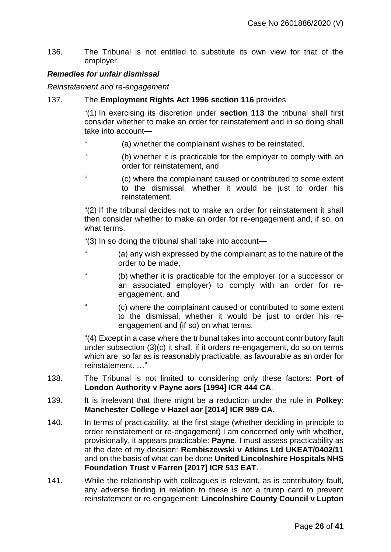136. The Tribunal is not entitled to substitute its own view for that of the employer.

#### *Remedies for unfair dismissal*

*Reinstatement and re-engagement*

137. The **Employment Rights Act 1996 section 116** provides

"(1) In exercising its discretion under **section 113** the tribunal shall first consider whether to make an order for reinstatement and in so doing shall take into account—

- " (a) whether the complainant wishes to be reinstated,
- (b) whether it is practicable for the employer to comply with an order for reinstatement, and
- " (c) where the complainant caused or contributed to some extent to the dismissal, whether it would be just to order his reinstatement.

"(2) If the tribunal decides not to make an order for reinstatement it shall then consider whether to make an order for re-engagement and, if so, on what terms.

"(3) In so doing the tribunal shall take into account—

- " (a) any wish expressed by the complainant as to the nature of the order to be made,
- " (b) whether it is practicable for the employer (or a successor or an associated employer) to comply with an order for reengagement, and
- " (c) where the complainant caused or contributed to some extent to the dismissal, whether it would be just to order his reengagement and (if so) on what terms.

"(4) Except in a case where the tribunal takes into account contributory fault under subsection (3)(c) it shall, if it orders re-engagement, do so on terms which are, so far as is reasonably practicable, as favourable as an order for reinstatement. …"

- 138. The Tribunal is not limited to considering only these factors: **Port of London Authority v Payne aors [1994] ICR 444 CA**.
- 139. It is irrelevant that there might be a reduction under the rule in **Polkey**: **Manchester College v Hazel aor [2014] ICR 989 CA**.
- 140. In terms of practicability, at the first stage (whether deciding in principle to order reinstatement or re-engagement) I am concerned only with whether, provisionally, it appears practicable: **Payne**. I must assess practicability as at the date of my decision: **Rembiszewski v Atkins Ltd UKEAT/0402/11** and on the basis of what can be done **United Lincolnshire Hospitals NHS Foundation Trust v Farren [2017] ICR 513 EAT**.
- 141. While the relationship with colleagues is relevant, as is contributory fault, any adverse finding in relation to these is not a trump card to prevent reinstatement or re-engagement: **Lincolnshire County Council v Lupton**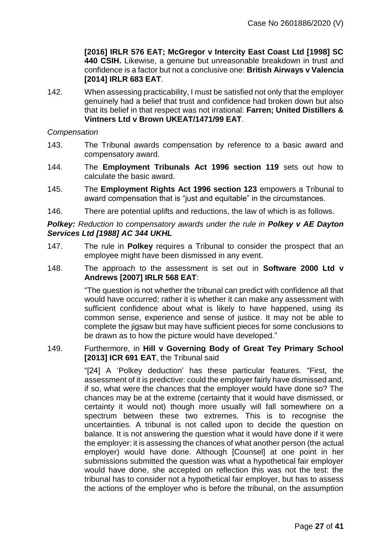**[2016] IRLR 576 EAT; McGregor v Intercity East Coast Ltd [1998] SC 440 CSIH.** Likewise, a genuine but unreasonable breakdown in trust and confidence is a factor but not a conclusive one: **British Airways v Valencia [2014] IRLR 683 EAT**.

142. When assessing practicability, I must be satisfied not only that the employer genuinely had a belief that trust and confidence had broken down but also that its belief in that respect was not irrational: **Farren; United Distillers & Vintners Ltd v Brown UKEAT/1471/99 EAT**.

*Compensation*

- 143. The Tribunal awards compensation by reference to a basic award and compensatory award.
- 144. The **Employment Tribunals Act 1996 section 119** sets out how to calculate the basic award.
- 145. The **Employment Rights Act 1996 section 123** empowers a Tribunal to award compensation that is "just and equitable" in the circumstances.
- 146. There are potential uplifts and reductions, the law of which is as follows.

#### **Polkey:** Reduction to compensatory awards under the rule in **Polkey v AE Dayton** *Services Ltd [1988] AC 344 UKHL*

- 147. The rule in **Polkey** requires a Tribunal to consider the prospect that an employee might have been dismissed in any event.
- 148. The approach to the assessment is set out in **Software 2000 Ltd v Andrews [2007] IRLR 568 EAT**:

"The question is not whether the tribunal can predict with confidence all that would have occurred; rather it is whether it can make any assessment with sufficient confidence about what is likely to have happened, using its common sense, experience and sense of justice. It may not be able to complete the jigsaw but may have sufficient pieces for some conclusions to be drawn as to how the picture would have developed."

#### 149. Furthermore, in **Hill v Governing Body of Great Tey Primary School [2013] ICR 691 EAT**, the Tribunal said

"[24] A 'Polkey deduction' has these particular features. "First, the assessment of it is predictive: could the employer fairly have dismissed and, if so, what were the chances that the employer would have done so? The chances may be at the extreme (certainty that it would have dismissed, or certainty it would not) though more usually will fall somewhere on a spectrum between these two extremes. This is to recognise the uncertainties. A tribunal is not called upon to decide the question on balance. It is not answering the question what it would have done if it were the employer: it is assessing the chances of what another person (the actual employer) would have done. Although [Counsel] at one point in her submissions submitted the question was what a hypothetical fair employer would have done, she accepted on reflection this was not the test: the tribunal has to consider not a hypothetical fair employer, but has to assess the actions of the employer who is before the tribunal, on the assumption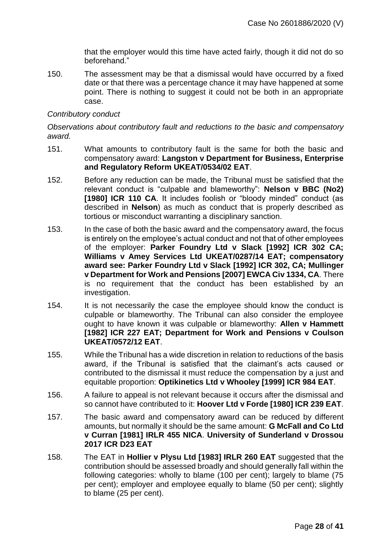that the employer would this time have acted fairly, though it did not do so beforehand."

150. The assessment may be that a dismissal would have occurred by a fixed date or that there was a percentage chance it may have happened at some point. There is nothing to suggest it could not be both in an appropriate case.

#### *Contributory conduct*

*Observations about contributory fault and reductions to the basic and compensatory award.*

- 151. What amounts to contributory fault is the same for both the basic and compensatory award: **Langston v Department for Business, Enterprise and Regulatory Reform UKEAT/0534/02 EAT**.
- 152. Before any reduction can be made, the Tribunal must be satisfied that the relevant conduct is "culpable and blameworthy": **Nelson v BBC (No2) [1980] ICR 110 CA**. It includes foolish or "bloody minded" conduct (as described in **Nelson**) as much as conduct that is properly described as tortious or misconduct warranting a disciplinary sanction.
- 153. In the case of both the basic award and the compensatory award, the focus is entirely on the employee's actual conduct and not that of other employees of the employer: **Parker Foundry Ltd v Slack [1992] ICR 302 CA; Williams v Amey Services Ltd UKEAT/0287/14 EAT; compensatory award see: Parker Foundry Ltd v Slack [1992] ICR 302, CA; Mullinger v Department for Work and Pensions [2007] EWCA Civ 1334, CA**. There is no requirement that the conduct has been established by an investigation.
- 154. It is not necessarily the case the employee should know the conduct is culpable or blameworthy. The Tribunal can also consider the employee ought to have known it was culpable or blameworthy: **Allen v Hammett [1982] ICR 227 EAT; Department for Work and Pensions v Coulson UKEAT/0572/12 EAT**.
- 155. While the Tribunal has a wide discretion in relation to reductions of the basis award, if the Tribunal is satisfied that the claimant's acts caused or contributed to the dismissal it must reduce the compensation by a just and equitable proportion: **Optikinetics Ltd v Whooley [1999] ICR 984 EAT**.
- 156. A failure to appeal is not relevant because it occurs after the dismissal and so cannot have contributed to it: **Hoover Ltd v Forde [1980] ICR 239 EAT**.
- 157. The basic award and compensatory award can be reduced by different amounts, but normally it should be the same amount: **G McFall and Co Ltd v Curran [1981] IRLR 455 NICA**. **University of Sunderland v Drossou 2017 ICR D23 EAT**
- 158. The EAT in **Hollier v Plysu Ltd [1983] IRLR 260 EAT** suggested that the contribution should be assessed broadly and should generally fall within the following categories: wholly to blame (100 per cent); largely to blame (75 per cent); employer and employee equally to blame (50 per cent); slightly to blame (25 per cent).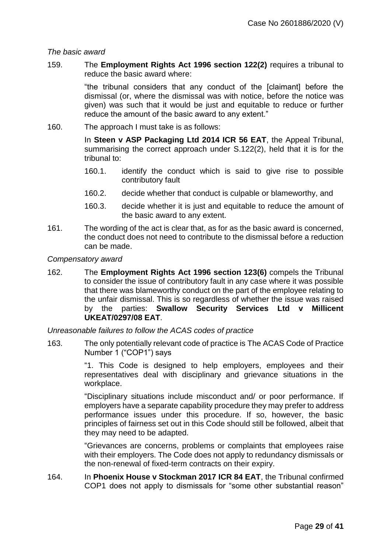#### *The basic award*

159. The **Employment Rights Act 1996 section 122(2)** requires a tribunal to reduce the basic award where:

> "the tribunal considers that any conduct of the [claimant] before the dismissal (or, where the dismissal was with notice, before the notice was given) was such that it would be just and equitable to reduce or further reduce the amount of the basic award to any extent."

160. The approach I must take is as follows:

In **Steen v ASP Packaging Ltd 2014 ICR 56 EAT**, the Appeal Tribunal, summarising the correct approach under S.122(2), held that it is for the tribunal to:

- 160.1. identify the conduct which is said to give rise to possible contributory fault
- 160.2. decide whether that conduct is culpable or blameworthy, and
- 160.3. decide whether it is just and equitable to reduce the amount of the basic award to any extent.
- 161. The wording of the act is clear that, as for as the basic award is concerned, the conduct does not need to contribute to the dismissal before a reduction can be made.

#### *Compensatory award*

162. The **Employment Rights Act 1996 section 123(6)** compels the Tribunal to consider the issue of contributory fault in any case where it was possible that there was blameworthy conduct on the part of the employee relating to the unfair dismissal. This is so regardless of whether the issue was raised by the parties: **[Swallow Security Services Ltd v Millicent](https://uk.westlaw.com/Link/Document/FullText?findType=Y&serNum=2018333140&originatingDoc=IEEDD866055E011E79153C39CF1D5DBAB&refType=UC&originationContext=document&transitionType=CommentaryUKLink&contextData=(sc.Category))  [UKEAT/0297/08](https://uk.westlaw.com/Link/Document/FullText?findType=Y&serNum=2018333140&originatingDoc=IEEDD866055E011E79153C39CF1D5DBAB&refType=UC&originationContext=document&transitionType=CommentaryUKLink&contextData=(sc.Category)) EAT**.

*Unreasonable failures to follow the ACAS codes of practice*

163. The only potentially relevant code of practice is The ACAS Code of Practice Number 1 ("COP1") says

> "1. This Code is designed to help employers, employees and their representatives deal with disciplinary and grievance situations in the workplace.

> "Disciplinary situations include misconduct and/ or poor performance. If employers have a separate capability procedure they may prefer to address performance issues under this procedure. If so, however, the basic principles of fairness set out in this Code should still be followed, albeit that they may need to be adapted.

> "Grievances are concerns, problems or complaints that employees raise with their employers. The Code does not apply to redundancy dismissals or the non-renewal of fixed-term contracts on their expiry.

164. In **Phoenix House v Stockman 2017 ICR 84 EAT**, the Tribunal confirmed COP1 does not apply to dismissals for "some other substantial reason"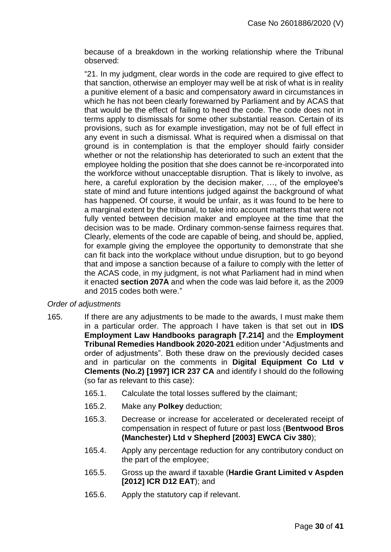because of a breakdown in the working relationship where the Tribunal observed:

"21. In my judgment, clear words in the code are required to give effect to that sanction, otherwise an employer may well be at risk of what is in reality a punitive element of a basic and compensatory award in circumstances in which he has not been clearly forewarned by Parliament and by ACAS that that would be the effect of failing to heed the code. The code does not in terms apply to dismissals for some other substantial reason. Certain of its provisions, such as for example investigation, may not be of full effect in any event in such a dismissal. What is required when a dismissal on that ground is in contemplation is that the employer should fairly consider whether or not the relationship has deteriorated to such an extent that the employee holding the position that she does cannot be re-incorporated into the workforce without unacceptable disruption. That is likely to involve, as here, a careful exploration by the decision maker, …, of the employee's state of mind and future intentions judged against the background of what has happened. Of course, it would be unfair, as it was found to be here to a marginal extent by the tribunal, to take into account matters that were not fully vented between decision maker and employee at the time that the decision was to be made. Ordinary common-sense fairness requires that. Clearly, elements of the code are capable of being, and should be, applied, for example giving the employee the opportunity to demonstrate that she can fit back into the workplace without undue disruption, but to go beyond that and impose a sanction because of a failure to comply with the letter of the ACAS code, in my judgment, is not what Parliament had in mind when it enacted **section 207A** and when the code was laid before it, as the 2009 and 2015 codes both were."

#### *Order of adjustments*

- 165. If there are any adjustments to be made to the awards, I must make them in a particular order. The approach I have taken is that set out in **IDS Employment Law Handbooks paragraph [7.214]** and the **Employment Tribunal Remedies Handbook 2020-2021** edition under "Adjustments and order of adjustments". Both these draw on the previously decided cases and in particular on the comments in **Digital Equipment Co Ltd v Clements (No.2) [1997] ICR 237 CA** and identify I should do the following (so far as relevant to this case):
	- 165.1. Calculate the total losses suffered by the claimant;
	- 165.2. Make any **Polkey** deduction;
	- 165.3. Decrease or increase for accelerated or decelerated receipt of compensation in respect of future or past loss (**Bentwood Bros (Manchester) Ltd v Shepherd [2003] EWCA Civ 380**);
	- 165.4. Apply any percentage reduction for any contributory conduct on the part of the employee;
	- 165.5. Gross up the award if taxable (**Hardie Grant Limited v Aspden [2012] ICR D12 EAT**); and
	- 165.6. Apply the statutory cap if relevant.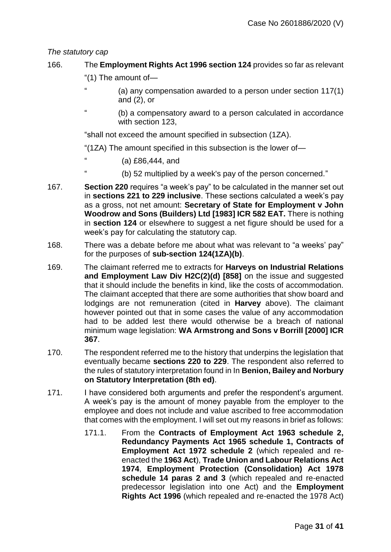### *The statutory cap*

## 166. The **Employment Rights Act 1996 section 124** provides so far as relevant

- "(1) The amount of—
- " (a) any compensation awarded to a person under section 117(1) and (2), or
- (b) a compensatory award to a person calculated in accordance with section 123,

"shall not exceed the amount specified in subsection (1ZA).

"(1ZA) The amount specified in this subsection is the lower of—

- " (a) £86,444, and
	- " (b) 52 multiplied by a week's pay of the person concerned."
- 167. **Section 220** requires "a week's pay" to be calculated in the manner set out in **sections 221 to 229 inclusive**. These sections calculated a week's pay as a gross, not net amount: **Secretary of State for Employment v John Woodrow and Sons (Builders) Ltd [1983] ICR 582 EAT.** There is nothing in **section 124** or elsewhere to suggest a net figure should be used for a week's pay for calculating the statutory cap.
- 168. There was a debate before me about what was relevant to "a weeks' pay" for the purposes of **sub-section 124(1ZA)(b)**.
- 169. The claimant referred me to extracts for **Harveys on Industrial Relations and Employment Law Div H2C(2)(d) [858]** on the issue and suggested that it should include the benefits in kind, like the costs of accommodation. The claimant accepted that there are some authorities that show board and lodgings are not remuneration (cited in **Harvey** above). The claimant however pointed out that in some cases the value of any accommodation had to be added lest there would otherwise be a breach of national minimum wage legislation: **WA Armstrong and Sons v Borrill [2000] ICR 367**.
- 170. The respondent referred me to the history that underpins the legislation that eventually became **sections 220 to 229**. The respondent also referred to the rules of statutory interpretation found in In **Benion, Bailey and Norbury on Statutory Interpretation (8th ed)**.
- 171. I have considered both arguments and prefer the respondent's argument. A week's pay is the amount of money payable from the employer to the employee and does not include and value ascribed to free accommodation that comes with the employment. I will set out my reasons in brief as follows:
	- 171.1. From the **Contracts of Employment Act 1963 schedule 2, Redundancy Payments Act 1965 schedule 1, Contracts of Employment Act 1972 schedule 2** (which repealed and reenacted the **1963 Act**), **Trade Union and Labour Relations Act 1974**, **Employment Protection (Consolidation) Act 1978 schedule 14 paras 2 and 3** (which repealed and re-enacted predecessor legislation into one Act) and the **Employment Rights Act 1996** (which repealed and re-enacted the 1978 Act)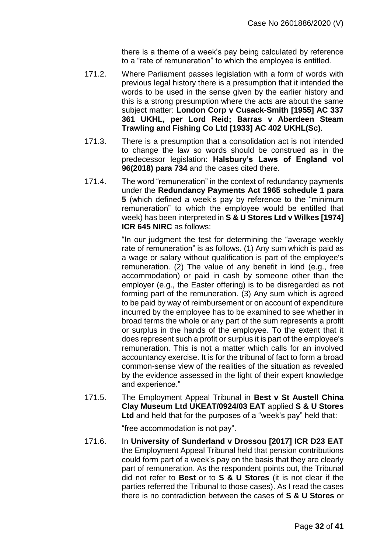there is a theme of a week's pay being calculated by reference to a "rate of remuneration" to which the employee is entitled.

- 171.2. Where Parliament passes legislation with a form of words with previous legal history there is a presumption that it intended the words to be used in the sense given by the earlier history and this is a strong presumption where the acts are about the same subject matter: **London Corp v Cusack-Smith [1955] AC 337 361 UKHL, per Lord Reid; Barras v Aberdeen Steam Trawling and Fishing Co Ltd [1933] AC 402 UKHL(Sc)**.
- 171.3. There is a presumption that a consolidation act is not intended to change the law so words should be construed as in the predecessor legislation: **Halsbury's Laws of England vol 96(2018) para 734** and the cases cited there.
- 171.4. The word "remuneration" in the context of redundancy payments under the **Redundancy Payments Act 1965 schedule 1 para 5** (which defined a week's pay by reference to the "minimum remuneration" to which the employee would be entitled that week) has been interpreted in **S & U Stores Ltd v Wilkes [1974] ICR 645 NIRC** as follows:

"In our judgment the test for determining the "average weekly rate of remuneration" is as follows. (1) Any sum which is paid as a wage or salary without qualification is part of the employee's remuneration. (2) The value of any benefit in kind (e.g., free accommodation) or paid in cash by someone other than the employer (e.g., the Easter offering) is to be disregarded as not forming part of the remuneration. (3) Any sum which is agreed to be paid by way of reimbursement or on account of expenditure incurred by the employee has to be examined to see whether in broad terms the whole or any part of the sum represents a profit or surplus in the hands of the employee. To the extent that it does represent such a profit or surplus it is part of the employee's remuneration. This is not a matter which calls for an involved accountancy exercise. It is for the tribunal of fact to form a broad common-sense view of the realities of the situation as revealed by the evidence assessed in the light of their expert knowledge and experience."

171.5. The Employment Appeal Tribunal in **Best v St Austell China Clay Museum Ltd UKEAT/0924/03 EAT** applied **S & U Stores Ltd** and held that for the purposes of a "week's pay" held that:

"free accommodation is not pay".

171.6. In **University of Sunderland v Drossou [2017] ICR D23 EAT**  the Employment Appeal Tribunal held that pension contributions could form part of a week's pay on the basis that they are clearly part of remuneration. As the respondent points out, the Tribunal did not refer to **Best** or to **S & U Stores** (it is not clear if the parties referred the Tribunal to those cases). As I read the cases there is no contradiction between the cases of **S & U Stores** or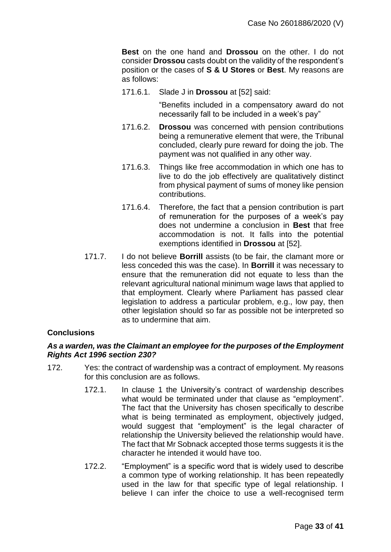**Best** on the one hand and **Drossou** on the other. I do not consider **Drossou** casts doubt on the validity of the respondent's position or the cases of **S & U Stores** or **Best**. My reasons are as follows:

171.6.1. Slade J in **Drossou** at [52] said:

"Benefits included in a compensatory award do not necessarily fall to be included in a week's pay"

- 171.6.2. **Drossou** was concerned with pension contributions being a remunerative element that were, the Tribunal concluded, clearly pure reward for doing the job. The payment was not qualified in any other way.
- 171.6.3. Things like free accommodation in which one has to live to do the job effectively are qualitatively distinct from physical payment of sums of money like pension contributions.
- 171.6.4. Therefore, the fact that a pension contribution is part of remuneration for the purposes of a week's pay does not undermine a conclusion in **Best** that free accommodation is not. It falls into the potential exemptions identified in **Drossou** at [52].
- 171.7. I do not believe **Borrill** assists (to be fair, the clamant more or less conceded this was the case). In **Borrill** it was necessary to ensure that the remuneration did not equate to less than the relevant agricultural national minimum wage laws that applied to that employment. Clearly where Parliament has passed clear legislation to address a particular problem, e.g., low pay, then other legislation should so far as possible not be interpreted so as to undermine that aim.

#### **Conclusions**

#### *As a warden, was the Claimant an employee for the purposes of the Employment Rights Act 1996 section 230?*

- 172. Yes: the contract of wardenship was a contract of employment. My reasons for this conclusion are as follows.
	- 172.1. In clause 1 the University's contract of wardenship describes what would be terminated under that clause as "employment". The fact that the University has chosen specifically to describe what is being terminated as employment, objectively judged, would suggest that "employment" is the legal character of relationship the University believed the relationship would have. The fact that Mr Sobnack accepted those terms suggests it is the character he intended it would have too.
	- 172.2. "Employment" is a specific word that is widely used to describe a common type of working relationship. It has been repeatedly used in the law for that specific type of legal relationship. I believe I can infer the choice to use a well-recognised term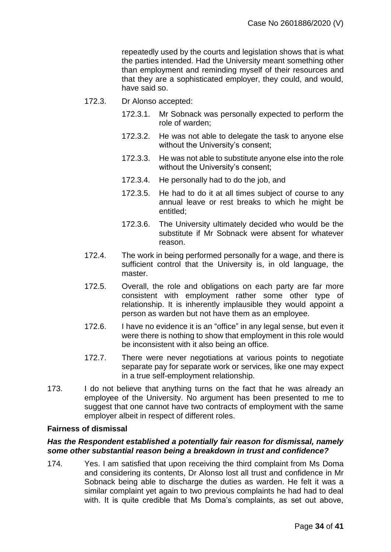repeatedly used by the courts and legislation shows that is what the parties intended. Had the University meant something other than employment and reminding myself of their resources and that they are a sophisticated employer, they could, and would, have said so.

- 172.3. Dr Alonso accepted:
	- 172.3.1. Mr Sobnack was personally expected to perform the role of warden;
	- 172.3.2. He was not able to delegate the task to anyone else without the University's consent;
	- 172.3.3. He was not able to substitute anyone else into the role without the University's consent;
	- 172.3.4. He personally had to do the job, and
	- 172.3.5. He had to do it at all times subject of course to any annual leave or rest breaks to which he might be entitled;
	- 172.3.6. The University ultimately decided who would be the substitute if Mr Sobnack were absent for whatever reason.
- 172.4. The work in being performed personally for a wage, and there is sufficient control that the University is, in old language, the master.
- 172.5. Overall, the role and obligations on each party are far more consistent with employment rather some other type of relationship. It is inherently implausible they would appoint a person as warden but not have them as an employee.
- 172.6. I have no evidence it is an "office" in any legal sense, but even it were there is nothing to show that employment in this role would be inconsistent with it also being an office.
- 172.7. There were never negotiations at various points to negotiate separate pay for separate work or services, like one may expect in a true self-employment relationship.
- 173. I do not believe that anything turns on the fact that he was already an employee of the University. No argument has been presented to me to suggest that one cannot have two contracts of employment with the same employer albeit in respect of different roles.

#### **Fairness of dismissal**

#### *Has the Respondent established a potentially fair reason for dismissal, namely some other substantial reason being a breakdown in trust and confidence?*

174. Yes. I am satisfied that upon receiving the third complaint from Ms Doma and considering its contents, Dr Alonso lost all trust and confidence in Mr Sobnack being able to discharge the duties as warden. He felt it was a similar complaint yet again to two previous complaints he had had to deal with. It is quite credible that Ms Doma's complaints, as set out above,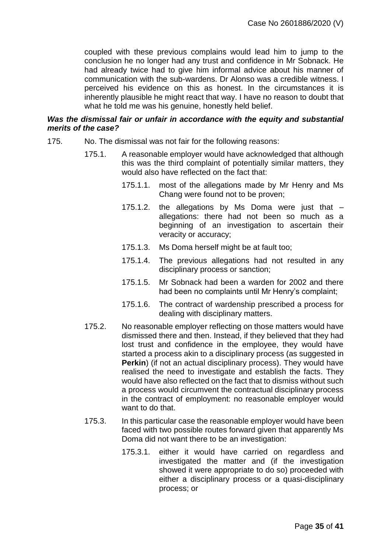coupled with these previous complains would lead him to jump to the conclusion he no longer had any trust and confidence in Mr Sobnack. He had already twice had to give him informal advice about his manner of communication with the sub-wardens. Dr Alonso was a credible witness. I perceived his evidence on this as honest. In the circumstances it is inherently plausible he might react that way. I have no reason to doubt that what he told me was his genuine, honestly held belief.

#### *Was the dismissal fair or unfair in accordance with the equity and substantial merits of the case?*

- 175. No. The dismissal was not fair for the following reasons:
	- 175.1. A reasonable employer would have acknowledged that although this was the third complaint of potentially similar matters, they would also have reflected on the fact that:
		- 175.1.1. most of the allegations made by Mr Henry and Ms Chang were found not to be proven;
		- 175.1.2. the allegations by Ms Doma were just that allegations: there had not been so much as a beginning of an investigation to ascertain their veracity or accuracy;
		- 175.1.3. Ms Doma herself might be at fault too;
		- 175.1.4. The previous allegations had not resulted in any disciplinary process or sanction;
		- 175.1.5. Mr Sobnack had been a warden for 2002 and there had been no complaints until Mr Henry's complaint;
		- 175.1.6. The contract of wardenship prescribed a process for dealing with disciplinary matters.
	- 175.2. No reasonable employer reflecting on those matters would have dismissed there and then. Instead, if they believed that they had lost trust and confidence in the employee, they would have started a process akin to a disciplinary process (as suggested in **Perkin**) (if not an actual disciplinary process). They would have realised the need to investigate and establish the facts. They would have also reflected on the fact that to dismiss without such a process would circumvent the contractual disciplinary process in the contract of employment: no reasonable employer would want to do that.
	- 175.3. In this particular case the reasonable employer would have been faced with two possible routes forward given that apparently Ms Doma did not want there to be an investigation:
		- 175.3.1. either it would have carried on regardless and investigated the matter and (if the investigation showed it were appropriate to do so) proceeded with either a disciplinary process or a quasi-disciplinary process; or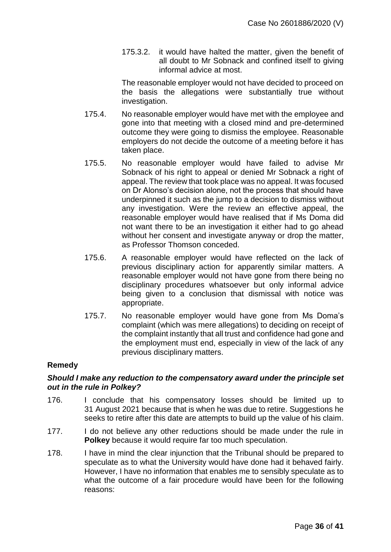175.3.2. it would have halted the matter, given the benefit of all doubt to Mr Sobnack and confined itself to giving informal advice at most.

The reasonable employer would not have decided to proceed on the basis the allegations were substantially true without investigation.

- 175.4. No reasonable employer would have met with the employee and gone into that meeting with a closed mind and pre-determined outcome they were going to dismiss the employee. Reasonable employers do not decide the outcome of a meeting before it has taken place.
- 175.5. No reasonable employer would have failed to advise Mr Sobnack of his right to appeal or denied Mr Sobnack a right of appeal. The review that took place was no appeal. It was focused on Dr Alonso's decision alone, not the process that should have underpinned it such as the jump to a decision to dismiss without any investigation. Were the review an effective appeal, the reasonable employer would have realised that if Ms Doma did not want there to be an investigation it either had to go ahead without her consent and investigate anyway or drop the matter, as Professor Thomson conceded.
- 175.6. A reasonable employer would have reflected on the lack of previous disciplinary action for apparently similar matters. A reasonable employer would not have gone from there being no disciplinary procedures whatsoever but only informal advice being given to a conclusion that dismissal with notice was appropriate.
- 175.7. No reasonable employer would have gone from Ms Doma's complaint (which was mere allegations) to deciding on receipt of the complaint instantly that all trust and confidence had gone and the employment must end, especially in view of the lack of any previous disciplinary matters.

## **Remedy**

#### *Should I make any reduction to the compensatory award under the principle set out in the rule in Polkey?*

- 176. I conclude that his compensatory losses should be limited up to 31 August 2021 because that is when he was due to retire. Suggestions he seeks to retire after this date are attempts to build up the value of his claim.
- 177. I do not believe any other reductions should be made under the rule in **Polkey** because it would require far too much speculation.
- 178. I have in mind the clear injunction that the Tribunal should be prepared to speculate as to what the University would have done had it behaved fairly. However, I have no information that enables me to sensibly speculate as to what the outcome of a fair procedure would have been for the following reasons: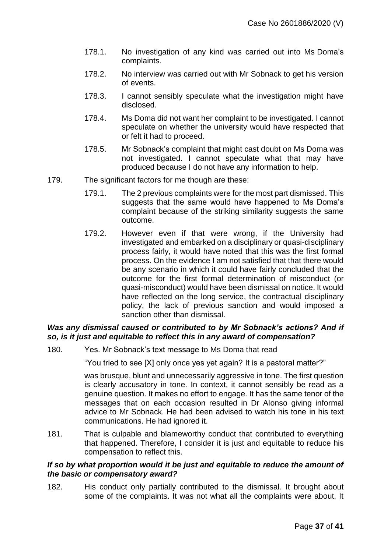- 178.1. No investigation of any kind was carried out into Ms Doma's complaints.
- 178.2. No interview was carried out with Mr Sobnack to get his version of events.
- 178.3. I cannot sensibly speculate what the investigation might have disclosed.
- 178.4. Ms Doma did not want her complaint to be investigated. I cannot speculate on whether the university would have respected that or felt it had to proceed.
- 178.5. Mr Sobnack's complaint that might cast doubt on Ms Doma was not investigated. I cannot speculate what that may have produced because I do not have any information to help.
- 179. The significant factors for me though are these:
	- 179.1. The 2 previous complaints were for the most part dismissed. This suggests that the same would have happened to Ms Doma's complaint because of the striking similarity suggests the same outcome.
	- 179.2. However even if that were wrong, if the University had investigated and embarked on a disciplinary or quasi-disciplinary process fairly, it would have noted that this was the first formal process. On the evidence I am not satisfied that that there would be any scenario in which it could have fairly concluded that the outcome for the first formal determination of misconduct (or quasi-misconduct) would have been dismissal on notice. It would have reflected on the long service, the contractual disciplinary policy, the lack of previous sanction and would imposed a sanction other than dismissal.

### *Was any dismissal caused or contributed to by Mr Sobnack's actions? And if so, is it just and equitable to reflect this in any award of compensation?*

180. Yes. Mr Sobnack's text message to Ms Doma that read

"You tried to see [X] only once yes yet again? It is a pastoral matter?"

was brusque, blunt and unnecessarily aggressive in tone. The first question is clearly accusatory in tone. In context, it cannot sensibly be read as a genuine question. It makes no effort to engage. It has the same tenor of the messages that on each occasion resulted in Dr Alonso giving informal advice to Mr Sobnack. He had been advised to watch his tone in his text communications. He had ignored it.

181. That is culpable and blameworthy conduct that contributed to everything that happened. Therefore, I consider it is just and equitable to reduce his compensation to reflect this.

#### *If so by what proportion would it be just and equitable to reduce the amount of the basic or compensatory award?*

182. His conduct only partially contributed to the dismissal. It brought about some of the complaints. It was not what all the complaints were about. It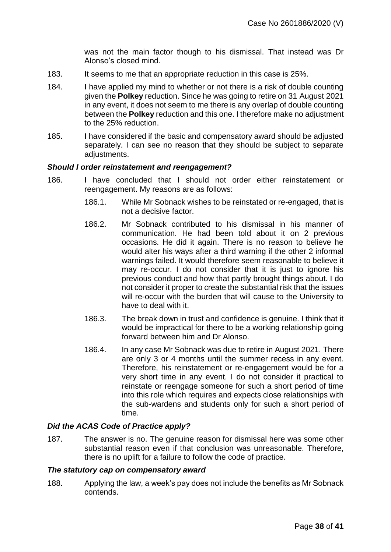was not the main factor though to his dismissal. That instead was Dr Alonso's closed mind.

- 183. It seems to me that an appropriate reduction in this case is 25%.
- 184. I have applied my mind to whether or not there is a risk of double counting given the **Polkey** reduction. Since he was going to retire on 31 August 2021 in any event, it does not seem to me there is any overlap of double counting between the **Polkey** reduction and this one. I therefore make no adjustment to the 25% reduction.
- 185. I have considered if the basic and compensatory award should be adjusted separately. I can see no reason that they should be subject to separate adjustments.

#### *Should I order reinstatement and reengagement?*

- 186. I have concluded that I should not order either reinstatement or reengagement. My reasons are as follows:
	- 186.1. While Mr Sobnack wishes to be reinstated or re-engaged, that is not a decisive factor.
	- 186.2. Mr Sobnack contributed to his dismissal in his manner of communication. He had been told about it on 2 previous occasions. He did it again. There is no reason to believe he would alter his ways after a third warning if the other 2 informal warnings failed. It would therefore seem reasonable to believe it may re-occur. I do not consider that it is just to ignore his previous conduct and how that partly brought things about. I do not consider it proper to create the substantial risk that the issues will re-occur with the burden that will cause to the University to have to deal with it.
	- 186.3. The break down in trust and confidence is genuine. I think that it would be impractical for there to be a working relationship going forward between him and Dr Alonso.
	- 186.4. In any case Mr Sobnack was due to retire in August 2021. There are only 3 or 4 months until the summer recess in any event. Therefore, his reinstatement or re-engagement would be for a very short time in any event. I do not consider it practical to reinstate or reengage someone for such a short period of time into this role which requires and expects close relationships with the sub-wardens and students only for such a short period of time.

#### *Did the ACAS Code of Practice apply?*

187. The answer is no. The genuine reason for dismissal here was some other substantial reason even if that conclusion was unreasonable. Therefore, there is no uplift for a failure to follow the code of practice.

#### *The statutory cap on compensatory award*

188. Applying the law, a week's pay does not include the benefits as Mr Sobnack contends.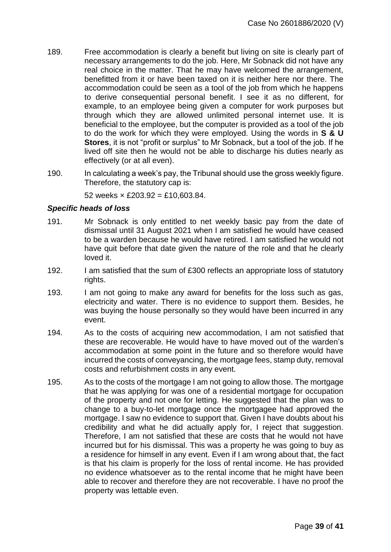- 189. Free accommodation is clearly a benefit but living on site is clearly part of necessary arrangements to do the job. Here, Mr Sobnack did not have any real choice in the matter. That he may have welcomed the arrangement, benefitted from it or have been taxed on it is neither here nor there. The accommodation could be seen as a tool of the job from which he happens to derive consequential personal benefit. I see it as no different, for example, to an employee being given a computer for work purposes but through which they are allowed unlimited personal internet use. It is beneficial to the employee, but the computer is provided as a tool of the job to do the work for which they were employed. Using the words in **S & U Stores**, it is not "profit or surplus" to Mr Sobnack, but a tool of the job. If he lived off site then he would not be able to discharge his duties nearly as effectively (or at all even).
- 190. In calculating a week's pay, the Tribunal should use the gross weekly figure. Therefore, the statutory cap is:

52 weeks  $\times$  £203.92 = £10.603.84.

#### *Specific heads of loss*

- 191. Mr Sobnack is only entitled to net weekly basic pay from the date of dismissal until 31 August 2021 when I am satisfied he would have ceased to be a warden because he would have retired. I am satisfied he would not have quit before that date given the nature of the role and that he clearly loved it.
- 192. I am satisfied that the sum of £300 reflects an appropriate loss of statutory rights.
- 193. I am not going to make any award for benefits for the loss such as gas, electricity and water. There is no evidence to support them. Besides, he was buying the house personally so they would have been incurred in any event.
- 194. As to the costs of acquiring new accommodation, I am not satisfied that these are recoverable. He would have to have moved out of the warden's accommodation at some point in the future and so therefore would have incurred the costs of conveyancing, the mortgage fees, stamp duty, removal costs and refurbishment costs in any event.
- 195. As to the costs of the mortgage I am not going to allow those. The mortgage that he was applying for was one of a residential mortgage for occupation of the property and not one for letting. He suggested that the plan was to change to a buy-to-let mortgage once the mortgagee had approved the mortgage. I saw no evidence to support that. Given I have doubts about his credibility and what he did actually apply for, I reject that suggestion. Therefore, I am not satisfied that these are costs that he would not have incurred but for his dismissal. This was a property he was going to buy as a residence for himself in any event. Even if I am wrong about that, the fact is that his claim is properly for the loss of rental income. He has provided no evidence whatsoever as to the rental income that he might have been able to recover and therefore they are not recoverable. I have no proof the property was lettable even.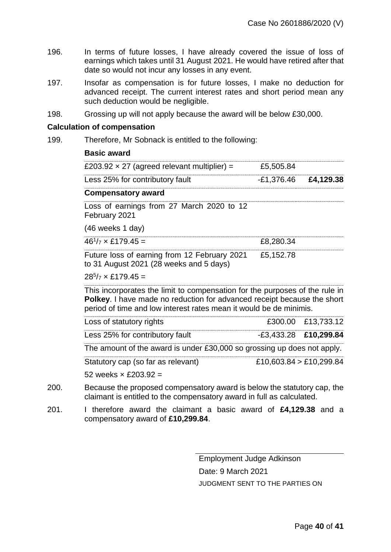- 196. In terms of future losses, I have already covered the issue of loss of earnings which takes until 31 August 2021. He would have retired after that date so would not incur any losses in any event.
- 197. Insofar as compensation is for future losses, I make no deduction for advanced receipt. The current interest rates and short period mean any such deduction would be negligible.
- 198. Grossing up will not apply because the award will be below £30,000.

#### **Calculation of compensation**

199. Therefore, Mr Sobnack is entitled to the following:

#### **Basic award**

| £203.92 $\times$ 27 (agreed relevant multiplier) =                                                                                                                                                                                                                                            | £5,505.84              |  |
|-----------------------------------------------------------------------------------------------------------------------------------------------------------------------------------------------------------------------------------------------------------------------------------------------|------------------------|--|
| Less 25% for contributory fault                                                                                                                                                                                                                                                               | $-E1,376.46$ £4,129.38 |  |
| <b>Compensatory award</b>                                                                                                                                                                                                                                                                     |                        |  |
| $\frac{1}{2}$ and $\frac{1}{2}$ and $\frac{1}{2}$ and $\frac{1}{2}$ and $\frac{1}{2}$ and $\frac{1}{2}$ and $\frac{1}{2}$ and $\frac{1}{2}$ and $\frac{1}{2}$ and $\frac{1}{2}$ and $\frac{1}{2}$ and $\frac{1}{2}$ and $\frac{1}{2}$ and $\frac{1}{2}$ and $\frac{1}{2}$ and $\frac{1}{2}$ a |                        |  |

Loss of earnings from 27 March 2020 to 12 February 2021

(46 weeks 1 day)

| 46 <sup>′</sup><br>r,<br>-- | v |
|-----------------------------|---|

Future loss of earning from 12 February 2021 to 31 August 2021 (28 weeks and 5 days) £5,152.78

#### $28^{5}/7 \times$  £179.45 =

This incorporates the limit to compensation for the purposes of the rule in **Polkey**. I have made no reduction for advanced receipt because the short period of time and low interest rates mean it would be de minimis.

| Loss of statutory rights                                                | £300.00 £13,733.12      |
|-------------------------------------------------------------------------|-------------------------|
| Less 25% for contributory fault                                         | $-E3,433.28$ £10,299.84 |
| The amount of the award is under £30,000 so grossing up does not apply. |                         |
| Statutory cap (so far as relevant)                                      | £10,603.84 > £10,299.84 |

52 weeks  $\times$  £203.92 =

- 200. Because the proposed compensatory award is below the statutory cap, the claimant is entitled to the compensatory award in full as calculated.
- 201. I therefore award the claimant a basic award of **£4,129.38** and a compensatory award of **£10,299.84**.

Employment Judge Adkinson Date: 9 March 2021 JUDGMENT SENT TO THE PARTIES ON